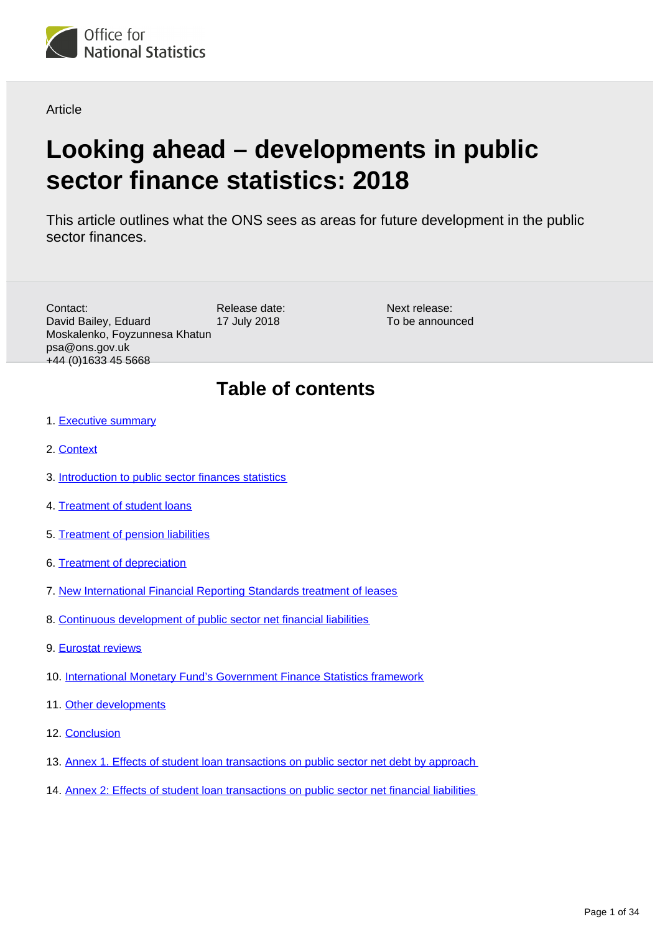

Article

# **Looking ahead – developments in public sector finance statistics: 2018**

This article outlines what the ONS sees as areas for future development in the public sector finances.

| Contact:<br>David Bailey, Eduard<br>Moskalenko, Foyzunnesa Khatun<br>psa@ons.gov.uk<br>+44 (0) 1633 45 5668 | Release date:<br>17 July 2018                                             | Next release:<br>To be announced |  |  |  |
|-------------------------------------------------------------------------------------------------------------|---------------------------------------------------------------------------|----------------------------------|--|--|--|
|                                                                                                             | <b>Table of contents</b>                                                  |                                  |  |  |  |
| 1. Executive summary                                                                                        |                                                                           |                                  |  |  |  |
| 2. Context                                                                                                  |                                                                           |                                  |  |  |  |
| 3. Introduction to public sector finances statistics                                                        |                                                                           |                                  |  |  |  |
| 4. Treatment of student loans                                                                               |                                                                           |                                  |  |  |  |
| 5. Treatment of pension liabilities                                                                         |                                                                           |                                  |  |  |  |
| 6. Treatment of depreciation                                                                                |                                                                           |                                  |  |  |  |
| 7. New International Financial Reporting Standards treatment of leases                                      |                                                                           |                                  |  |  |  |
| 8. Continuous development of public sector net financial liabilities                                        |                                                                           |                                  |  |  |  |
| 9. Eurostat reviews                                                                                         |                                                                           |                                  |  |  |  |
|                                                                                                             | 10. International Monetary Fund's Government Finance Statistics framework |                                  |  |  |  |

- 11. [Other developments](#page-30-0)
- 12. [Conclusion](#page-31-0)
- 13. [Annex 1. Effects of student loan transactions on public sector net debt by approach](#page-32-0)
- 14. [Annex 2: Effects of student loan transactions on public sector net financial liabilities](#page-33-0)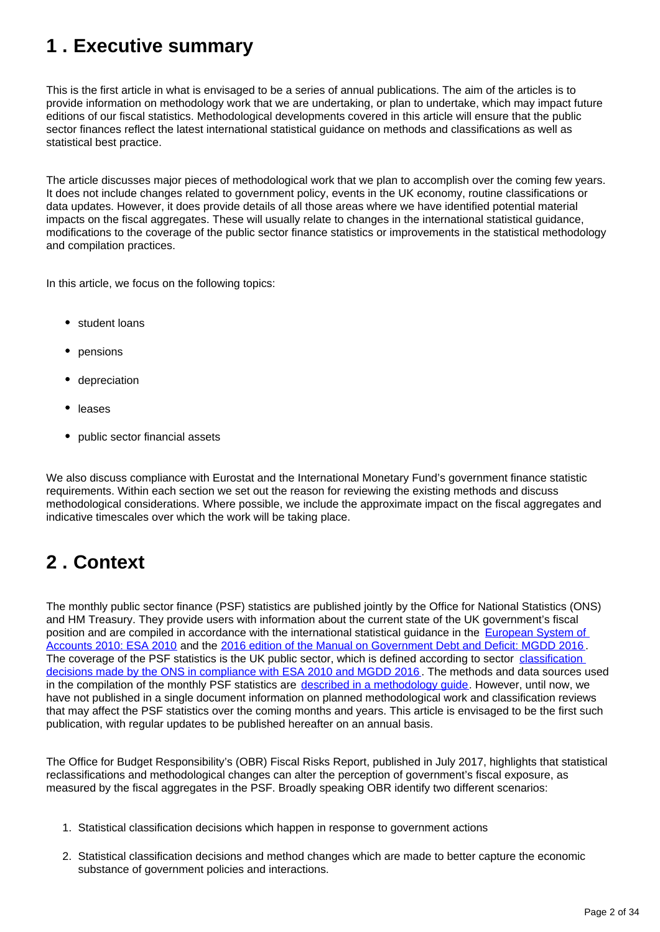## <span id="page-1-0"></span>**1 . Executive summary**

This is the first article in what is envisaged to be a series of annual publications. The aim of the articles is to provide information on methodology work that we are undertaking, or plan to undertake, which may impact future editions of our fiscal statistics. Methodological developments covered in this article will ensure that the public sector finances reflect the latest international statistical guidance on methods and classifications as well as statistical best practice.

The article discusses major pieces of methodological work that we plan to accomplish over the coming few years. It does not include changes related to government policy, events in the UK economy, routine classifications or data updates. However, it does provide details of all those areas where we have identified potential material impacts on the fiscal aggregates. These will usually relate to changes in the international statistical guidance, modifications to the coverage of the public sector finance statistics or improvements in the statistical methodology and compilation practices.

In this article, we focus on the following topics:

- student loans
- pensions
- depreciation
- leases
- public sector financial assets

We also discuss compliance with Eurostat and the International Monetary Fund's government finance statistic requirements. Within each section we set out the reason for reviewing the existing methods and discuss methodological considerations. Where possible, we include the approximate impact on the fiscal aggregates and indicative timescales over which the work will be taking place.

## <span id="page-1-1"></span>**2 . Context**

The monthly public sector finance (PSF) statistics are published jointly by the Office for National Statistics (ONS) and HM Treasury. They provide users with information about the current state of the UK government's fiscal position and are compiled in accordance with the international statistical guidance in the European System of [Accounts 2010: ESA 2010](http://ec.europa.eu/eurostat/web/esa-2010) and the [2016 edition of the Manual on Government Debt and Deficit: MGDD 2016](http://ec.europa.eu/eurostat/web/products-manuals-and-guidelines/-/KS-GQ-16-001) . The coverage of the PSF statistics is the UK public sector, which is defined according to sector classification [decisions made by the ONS in compliance with ESA 2010 and MGDD 2016](https://www.ons.gov.uk/methodology/classificationsandstandards/economicstatisticsclassifications/introductiontoeconomicstatisticsclassifications). The methods and data sources used in the compilation of the monthly PSF statistics are [described in a methodology guide](https://www.ons.gov.uk/economy/governmentpublicsectorandtaxes/publicsectorfinance/methodologies/monthlystatisticsonthepublicsectorfinancesamethodologicalguide). However, until now, we have not published in a single document information on planned methodological work and classification reviews that may affect the PSF statistics over the coming months and years. This article is envisaged to be the first such publication, with regular updates to be published hereafter on an annual basis.

The Office for Budget Responsibility's (OBR) Fiscal Risks Report, published in July 2017, highlights that statistical reclassifications and methodological changes can alter the perception of government's fiscal exposure, as measured by the fiscal aggregates in the PSF. Broadly speaking OBR identify two different scenarios:

- 1. Statistical classification decisions which happen in response to government actions
- 2. Statistical classification decisions and method changes which are made to better capture the economic substance of government policies and interactions.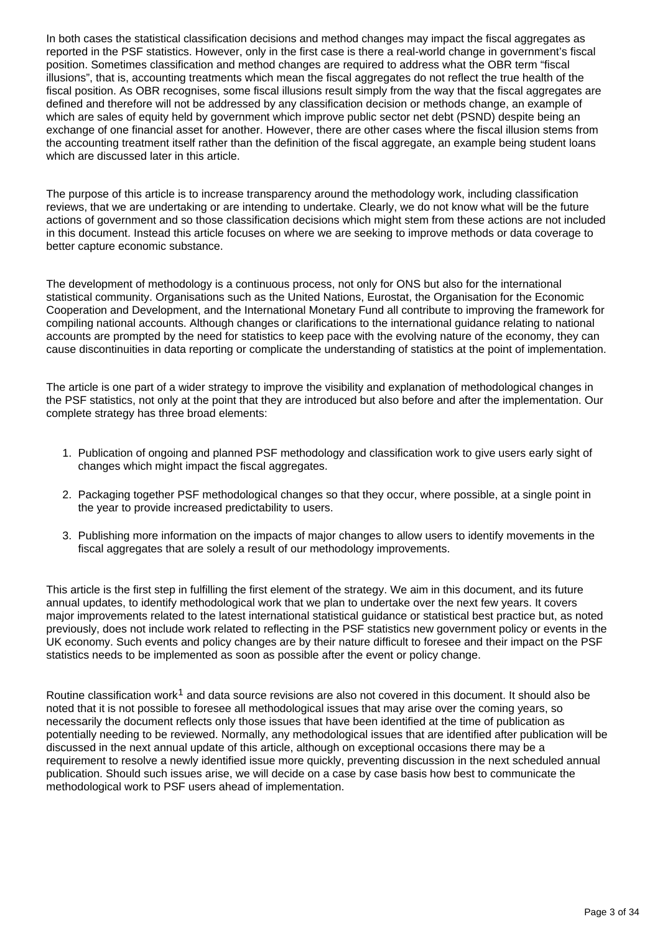In both cases the statistical classification decisions and method changes may impact the fiscal aggregates as reported in the PSF statistics. However, only in the first case is there a real-world change in government's fiscal position. Sometimes classification and method changes are required to address what the OBR term "fiscal illusions", that is, accounting treatments which mean the fiscal aggregates do not reflect the true health of the fiscal position. As OBR recognises, some fiscal illusions result simply from the way that the fiscal aggregates are defined and therefore will not be addressed by any classification decision or methods change, an example of which are sales of equity held by government which improve public sector net debt (PSND) despite being an exchange of one financial asset for another. However, there are other cases where the fiscal illusion stems from the accounting treatment itself rather than the definition of the fiscal aggregate, an example being student loans which are discussed later in this article.

The purpose of this article is to increase transparency around the methodology work, including classification reviews, that we are undertaking or are intending to undertake. Clearly, we do not know what will be the future actions of government and so those classification decisions which might stem from these actions are not included in this document. Instead this article focuses on where we are seeking to improve methods or data coverage to better capture economic substance.

The development of methodology is a continuous process, not only for ONS but also for the international statistical community. Organisations such as the United Nations, Eurostat, the Organisation for the Economic Cooperation and Development, and the International Monetary Fund all contribute to improving the framework for compiling national accounts. Although changes or clarifications to the international guidance relating to national accounts are prompted by the need for statistics to keep pace with the evolving nature of the economy, they can cause discontinuities in data reporting or complicate the understanding of statistics at the point of implementation.

The article is one part of a wider strategy to improve the visibility and explanation of methodological changes in the PSF statistics, not only at the point that they are introduced but also before and after the implementation. Our complete strategy has three broad elements:

- 1. Publication of ongoing and planned PSF methodology and classification work to give users early sight of changes which might impact the fiscal aggregates.
- 2. Packaging together PSF methodological changes so that they occur, where possible, at a single point in the year to provide increased predictability to users.
- 3. Publishing more information on the impacts of major changes to allow users to identify movements in the fiscal aggregates that are solely a result of our methodology improvements.

This article is the first step in fulfilling the first element of the strategy. We aim in this document, and its future annual updates, to identify methodological work that we plan to undertake over the next few years. It covers major improvements related to the latest international statistical guidance or statistical best practice but, as noted previously, does not include work related to reflecting in the PSF statistics new government policy or events in the UK economy. Such events and policy changes are by their nature difficult to foresee and their impact on the PSF statistics needs to be implemented as soon as possible after the event or policy change.

Routine classification work<sup>1</sup> and data source revisions are also not covered in this document. It should also be noted that it is not possible to foresee all methodological issues that may arise over the coming years, so necessarily the document reflects only those issues that have been identified at the time of publication as potentially needing to be reviewed. Normally, any methodological issues that are identified after publication will be discussed in the next annual update of this article, although on exceptional occasions there may be a requirement to resolve a newly identified issue more quickly, preventing discussion in the next scheduled annual publication. Should such issues arise, we will decide on a case by case basis how best to communicate the methodological work to PSF users ahead of implementation.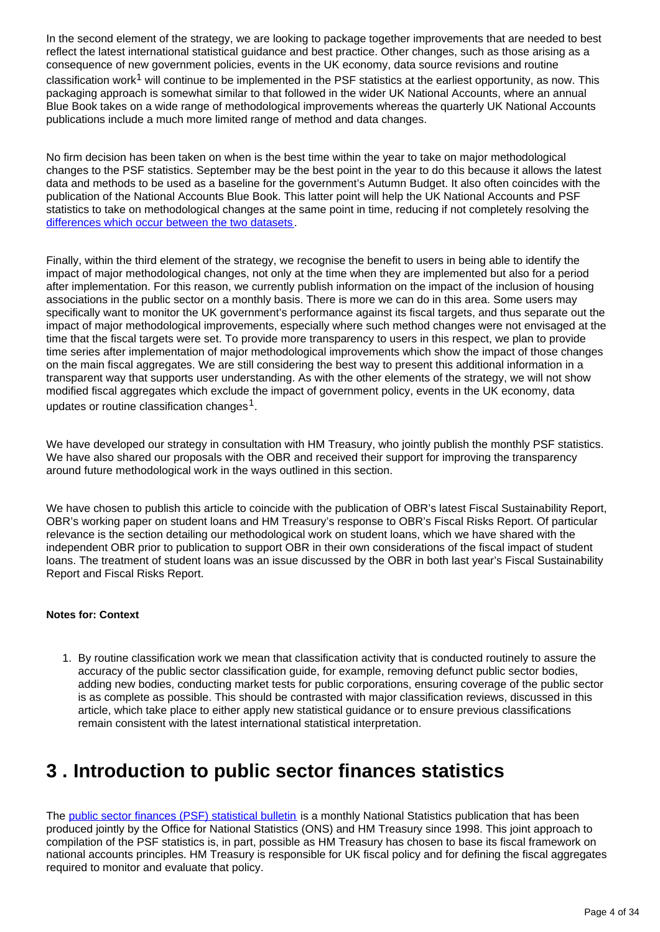In the second element of the strategy, we are looking to package together improvements that are needed to best reflect the latest international statistical guidance and best practice. Other changes, such as those arising as a consequence of new government policies, events in the UK economy, data source revisions and routine classification work<sup>1</sup> will continue to be implemented in the PSF statistics at the earliest opportunity, as now. This packaging approach is somewhat similar to that followed in the wider UK National Accounts, where an annual Blue Book takes on a wide range of methodological improvements whereas the quarterly UK National Accounts publications include a much more limited range of method and data changes.

No firm decision has been taken on when is the best time within the year to take on major methodological changes to the PSF statistics. September may be the best point in the year to do this because it allows the latest data and methods to be used as a baseline for the government's Autumn Budget. It also often coincides with the publication of the National Accounts Blue Book. This latter point will help the UK National Accounts and PSF statistics to take on methodological changes at the same point in time, reducing if not completely resolving the [differences which occur between the two datasets](https://www.ons.gov.uk/releases/nationalaccountsarticlesalignmentbetweenpublicsectorfinancesandnationalaccountsjune2018).

Finally, within the third element of the strategy, we recognise the benefit to users in being able to identify the impact of major methodological changes, not only at the time when they are implemented but also for a period after implementation. For this reason, we currently publish information on the impact of the inclusion of housing associations in the public sector on a monthly basis. There is more we can do in this area. Some users may specifically want to monitor the UK government's performance against its fiscal targets, and thus separate out the impact of major methodological improvements, especially where such method changes were not envisaged at the time that the fiscal targets were set. To provide more transparency to users in this respect, we plan to provide time series after implementation of major methodological improvements which show the impact of those changes on the main fiscal aggregates. We are still considering the best way to present this additional information in a transparent way that supports user understanding. As with the other elements of the strategy, we will not show modified fiscal aggregates which exclude the impact of government policy, events in the UK economy, data updates or routine classification changes<sup>1</sup>.

We have developed our strategy in consultation with HM Treasury, who jointly publish the monthly PSF statistics. We have also shared our proposals with the OBR and received their support for improving the transparency around future methodological work in the ways outlined in this section.

We have chosen to publish this article to coincide with the publication of OBR's latest Fiscal Sustainability Report, OBR's working paper on student loans and HM Treasury's response to OBR's Fiscal Risks Report. Of particular relevance is the section detailing our methodological work on student loans, which we have shared with the independent OBR prior to publication to support OBR in their own considerations of the fiscal impact of student loans. The treatment of student loans was an issue discussed by the OBR in both last year's Fiscal Sustainability Report and Fiscal Risks Report.

#### **Notes for: Context**

1. By routine classification work we mean that classification activity that is conducted routinely to assure the accuracy of the public sector classification guide, for example, removing defunct public sector bodies, adding new bodies, conducting market tests for public corporations, ensuring coverage of the public sector is as complete as possible. This should be contrasted with major classification reviews, discussed in this article, which take place to either apply new statistical guidance or to ensure previous classifications remain consistent with the latest international statistical interpretation.

## <span id="page-3-0"></span>**3 . Introduction to public sector finances statistics**

The [public sector finances \(PSF\) statistical bulletin](https://www.ons.gov.uk/economy/governmentpublicsectorandtaxes/publicsectorfinance/articles/widermeasuresofpublicsectornetdebt/december2017) is a monthly National Statistics publication that has been produced jointly by the Office for National Statistics (ONS) and HM Treasury since 1998. This joint approach to compilation of the PSF statistics is, in part, possible as HM Treasury has chosen to base its fiscal framework on national accounts principles. HM Treasury is responsible for UK fiscal policy and for defining the fiscal aggregates required to monitor and evaluate that policy.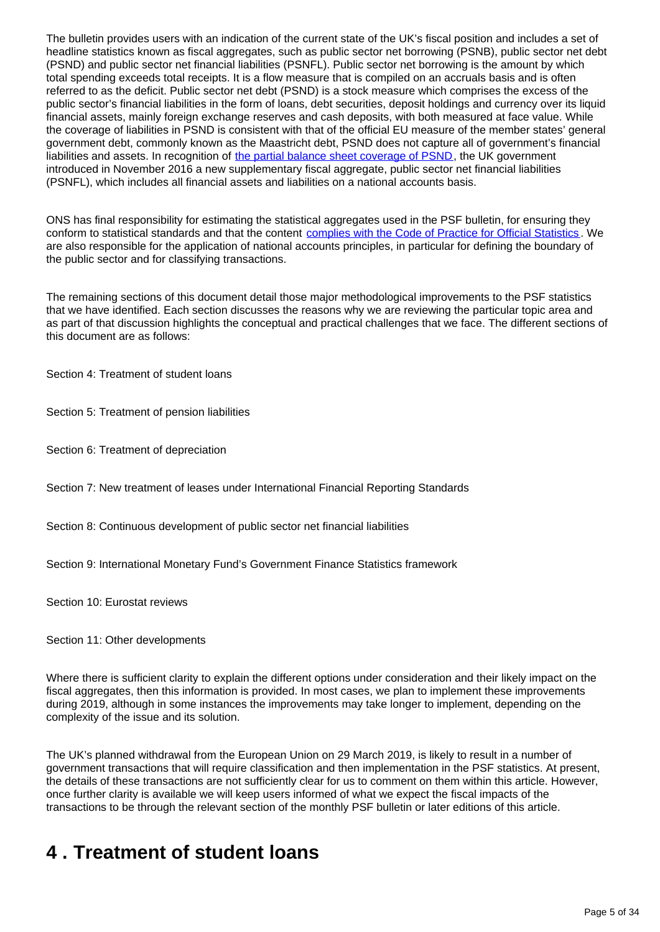The bulletin provides users with an indication of the current state of the UK's fiscal position and includes a set of headline statistics known as fiscal aggregates, such as public sector net borrowing (PSNB), public sector net debt (PSND) and public sector net financial liabilities (PSNFL). Public sector net borrowing is the amount by which total spending exceeds total receipts. It is a flow measure that is compiled on an accruals basis and is often referred to as the deficit. Public sector net debt (PSND) is a stock measure which comprises the excess of the public sector's financial liabilities in the form of loans, debt securities, deposit holdings and currency over its liquid financial assets, mainly foreign exchange reserves and cash deposits, with both measured at face value. While the coverage of liabilities in PSND is consistent with that of the official EU measure of the member states' general government debt, commonly known as the Maastricht debt, PSND does not capture all of government's financial liabilities and assets. In recognition of [the partial balance sheet coverage of PSND](https://www.ons.gov.uk/economy/governmentpublicsectorandtaxes/publicsectorfinance/articles/widermeasuresofpublicsectornetdebt/december2017), the UK government introduced in November 2016 a new supplementary fiscal aggregate, public sector net financial liabilities (PSNFL), which includes all financial assets and liabilities on a national accounts basis.

ONS has final responsibility for estimating the statistical aggregates used in the PSF bulletin, for ensuring they conform to statistical standards and that the content [complies with the Code of Practice for Official Statistics](https://www.statisticsauthority.gov.uk/code-of-practice/). We are also responsible for the application of national accounts principles, in particular for defining the boundary of the public sector and for classifying transactions.

The remaining sections of this document detail those major methodological improvements to the PSF statistics that we have identified. Each section discusses the reasons why we are reviewing the particular topic area and as part of that discussion highlights the conceptual and practical challenges that we face. The different sections of this document are as follows:

Section 4: Treatment of student loans

Section 5: Treatment of pension liabilities

Section 6: Treatment of depreciation

Section 7: New treatment of leases under International Financial Reporting Standards

Section 8: Continuous development of public sector net financial liabilities

Section 9: International Monetary Fund's Government Finance Statistics framework

Section 10: Eurostat reviews

Section 11: Other developments

Where there is sufficient clarity to explain the different options under consideration and their likely impact on the fiscal aggregates, then this information is provided. In most cases, we plan to implement these improvements during 2019, although in some instances the improvements may take longer to implement, depending on the complexity of the issue and its solution.

The UK's planned withdrawal from the European Union on 29 March 2019, is likely to result in a number of government transactions that will require classification and then implementation in the PSF statistics. At present, the details of these transactions are not sufficiently clear for us to comment on them within this article. However, once further clarity is available we will keep users informed of what we expect the fiscal impacts of the transactions to be through the relevant section of the monthly PSF bulletin or later editions of this article.

## <span id="page-4-0"></span>**4 . Treatment of student loans**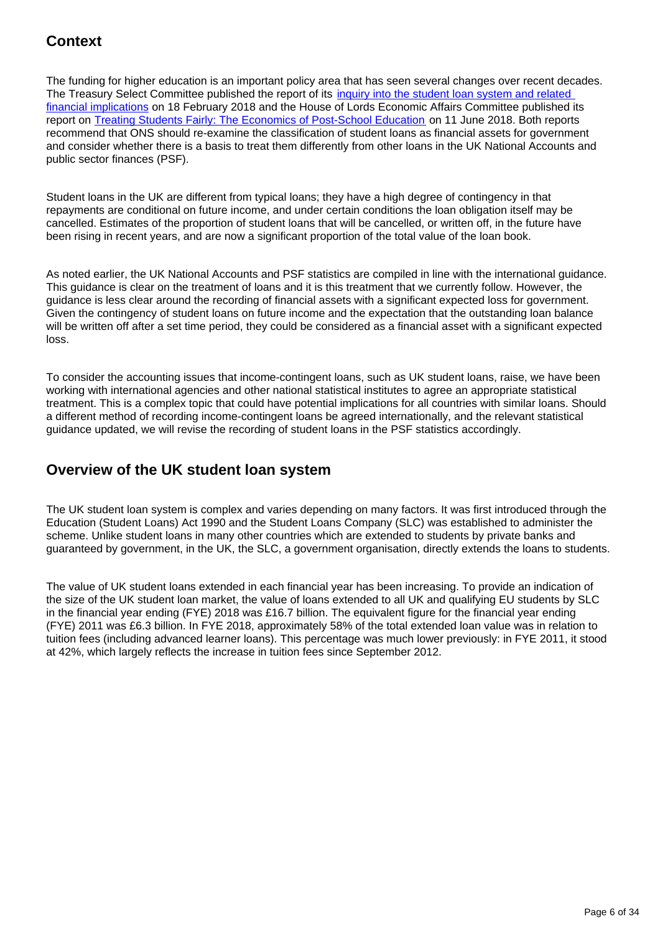## **Context**

The funding for higher education is an important policy area that has seen several changes over recent decades. The Treasury Select Committee published the report of its [inquiry into the student loan system and related](https://www.parliament.uk/business/committees/committees-a-z/commons-select/treasury-committee/news-parliament-2017/student-loans-report-published-17-19/)  [financial implications](https://www.parliament.uk/business/committees/committees-a-z/commons-select/treasury-committee/news-parliament-2017/student-loans-report-published-17-19/) on 18 February 2018 and the House of Lords Economic Affairs Committee published its report on [Treating Students Fairly: The Economics of Post-School Education](https://publications.parliament.uk/pa/ld201719/ldselect/ldeconaf/139/139.pdf) on 11 June 2018. Both reports recommend that ONS should re-examine the classification of student loans as financial assets for government and consider whether there is a basis to treat them differently from other loans in the UK National Accounts and public sector finances (PSF).

Student loans in the UK are different from typical loans; they have a high degree of contingency in that repayments are conditional on future income, and under certain conditions the loan obligation itself may be cancelled. Estimates of the proportion of student loans that will be cancelled, or written off, in the future have been rising in recent years, and are now a significant proportion of the total value of the loan book.

As noted earlier, the UK National Accounts and PSF statistics are compiled in line with the international guidance. This guidance is clear on the treatment of loans and it is this treatment that we currently follow. However, the guidance is less clear around the recording of financial assets with a significant expected loss for government. Given the contingency of student loans on future income and the expectation that the outstanding loan balance will be written off after a set time period, they could be considered as a financial asset with a significant expected loss.

To consider the accounting issues that income-contingent loans, such as UK student loans, raise, we have been working with international agencies and other national statistical institutes to agree an appropriate statistical treatment. This is a complex topic that could have potential implications for all countries with similar loans. Should a different method of recording income-contingent loans be agreed internationally, and the relevant statistical guidance updated, we will revise the recording of student loans in the PSF statistics accordingly.

### **Overview of the UK student loan system**

The UK student loan system is complex and varies depending on many factors. It was first introduced through the Education (Student Loans) Act 1990 and the Student Loans Company (SLC) was established to administer the scheme. Unlike student loans in many other countries which are extended to students by private banks and guaranteed by government, in the UK, the SLC, a government organisation, directly extends the loans to students.

The value of UK student loans extended in each financial year has been increasing. To provide an indication of the size of the UK student loan market, the value of loans extended to all UK and qualifying EU students by SLC in the financial year ending (FYE) 2018 was £16.7 billion. The equivalent figure for the financial year ending (FYE) 2011 was £6.3 billion. In FYE 2018, approximately 58% of the total extended loan value was in relation to tuition fees (including advanced learner loans). This percentage was much lower previously: in FYE 2011, it stood at 42%, which largely reflects the increase in tuition fees since September 2012.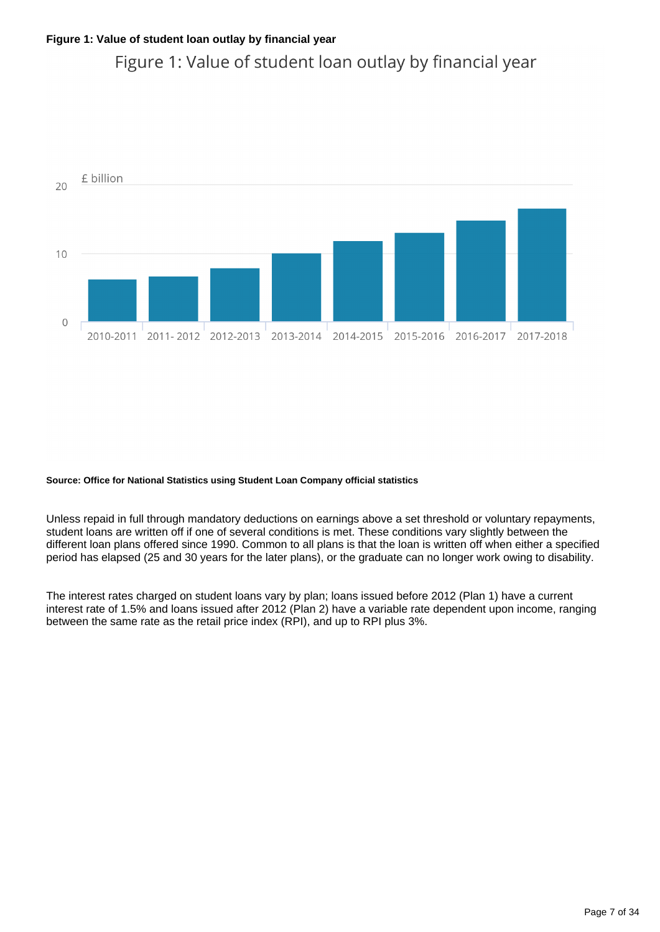## Figure 1: Value of student loan outlay by financial year



#### **Source: Office for National Statistics using Student Loan Company official statistics**

Unless repaid in full through mandatory deductions on earnings above a set threshold or voluntary repayments, student loans are written off if one of several conditions is met. These conditions vary slightly between the different loan plans offered since 1990. Common to all plans is that the loan is written off when either a specified period has elapsed (25 and 30 years for the later plans), or the graduate can no longer work owing to disability.

The interest rates charged on student loans vary by plan; loans issued before 2012 (Plan 1) have a current interest rate of 1.5% and loans issued after 2012 (Plan 2) have a variable rate dependent upon income, ranging between the same rate as the retail price index (RPI), and up to RPI plus 3%.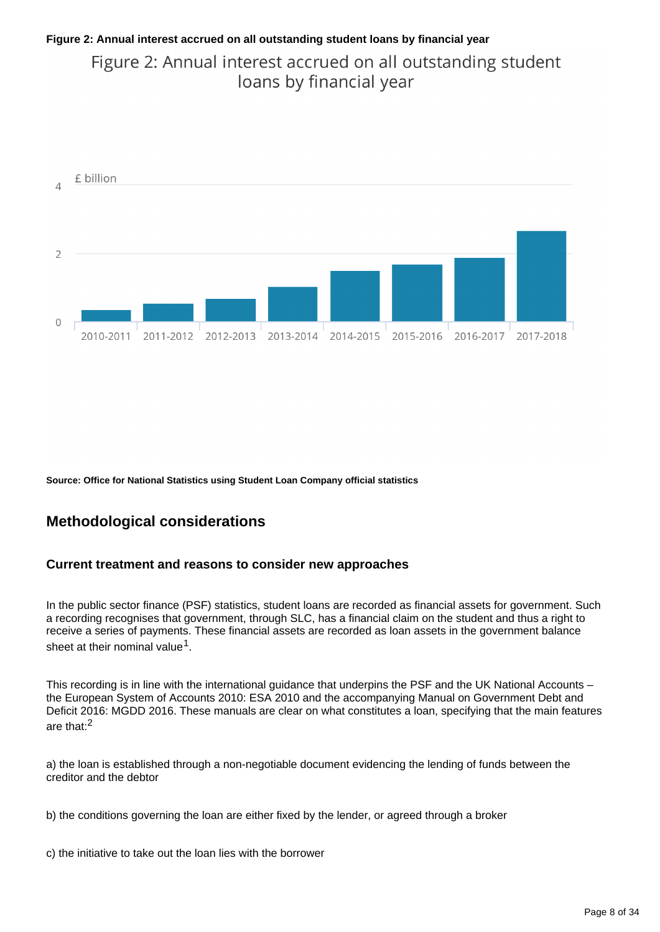### **Figure 2: Annual interest accrued on all outstanding student loans by financial year**

Figure 2: Annual interest accrued on all outstanding student loans by financial year



**Source: Office for National Statistics using Student Loan Company official statistics**

### **Methodological considerations**

#### **Current treatment and reasons to consider new approaches**

In the public sector finance (PSF) statistics, student loans are recorded as financial assets for government. Such a recording recognises that government, through SLC, has a financial claim on the student and thus a right to receive a series of payments. These financial assets are recorded as loan assets in the government balance sheet at their nominal value<sup>1</sup>.

This recording is in line with the international guidance that underpins the PSF and the UK National Accounts the European System of Accounts 2010: ESA 2010 and the accompanying Manual on Government Debt and Deficit 2016: MGDD 2016. These manuals are clear on what constitutes a loan, specifying that the main features are that:<sup>2</sup>

a) the loan is established through a non-negotiable document evidencing the lending of funds between the creditor and the debtor

b) the conditions governing the loan are either fixed by the lender, or agreed through a broker

c) the initiative to take out the loan lies with the borrower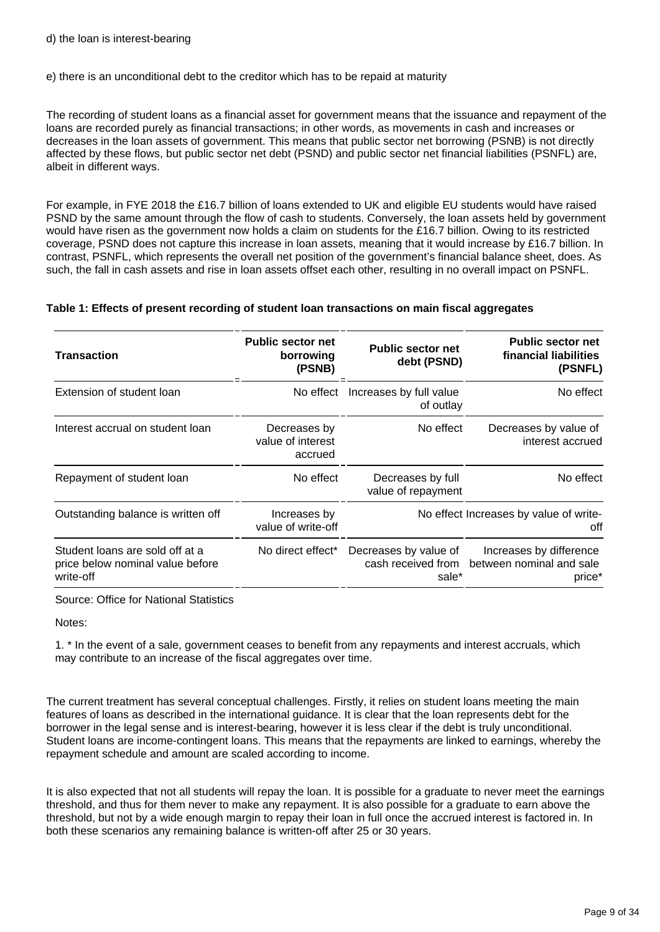#### e) there is an unconditional debt to the creditor which has to be repaid at maturity

The recording of student loans as a financial asset for government means that the issuance and repayment of the loans are recorded purely as financial transactions; in other words, as movements in cash and increases or decreases in the loan assets of government. This means that public sector net borrowing (PSNB) is not directly affected by these flows, but public sector net debt (PSND) and public sector net financial liabilities (PSNFL) are, albeit in different ways.

For example, in FYE 2018 the £16.7 billion of loans extended to UK and eligible EU students would have raised PSND by the same amount through the flow of cash to students. Conversely, the loan assets held by government would have risen as the government now holds a claim on students for the £16.7 billion. Owing to its restricted coverage, PSND does not capture this increase in loan assets, meaning that it would increase by £16.7 billion. In contrast, PSNFL, which represents the overall net position of the government's financial balance sheet, does. As such, the fall in cash assets and rise in loan assets offset each other, resulting in no overall impact on PSNFL.

#### **Table 1: Effects of present recording of student loan transactions on main fiscal aggregates**

| <b>Transaction</b>                                                               | <b>Public sector net</b><br>borrowing<br>(PSNB) | <b>Public sector net</b><br>debt (PSND)              | <b>Public sector net</b><br>financial liabilities<br>(PSNFL)  |
|----------------------------------------------------------------------------------|-------------------------------------------------|------------------------------------------------------|---------------------------------------------------------------|
| Extension of student loan                                                        | No effect                                       | Increases by full value<br>of outlay                 | No effect                                                     |
| Interest accrual on student loan                                                 | Decreases by<br>value of interest<br>accrued    | No effect                                            | Decreases by value of<br>interest accrued                     |
| Repayment of student loan                                                        | No effect                                       | Decreases by full<br>value of repayment              | No effect                                                     |
| Outstanding balance is written off                                               | Increases by<br>value of write-off              |                                                      | No effect Increases by value of write-<br>off                 |
| Student loans are sold off at a<br>price below nominal value before<br>write-off | No direct effect*                               | Decreases by value of<br>cash received from<br>sale* | Increases by difference<br>between nominal and sale<br>price* |

Source: Office for National Statistics

Notes:

1. \* In the event of a sale, government ceases to benefit from any repayments and interest accruals, which may contribute to an increase of the fiscal aggregates over time.

The current treatment has several conceptual challenges. Firstly, it relies on student loans meeting the main features of loans as described in the international guidance. It is clear that the loan represents debt for the borrower in the legal sense and is interest-bearing, however it is less clear if the debt is truly unconditional. Student loans are income-contingent loans. This means that the repayments are linked to earnings, whereby the repayment schedule and amount are scaled according to income.

It is also expected that not all students will repay the loan. It is possible for a graduate to never meet the earnings threshold, and thus for them never to make any repayment. It is also possible for a graduate to earn above the threshold, but not by a wide enough margin to repay their loan in full once the accrued interest is factored in. In both these scenarios any remaining balance is written-off after 25 or 30 years.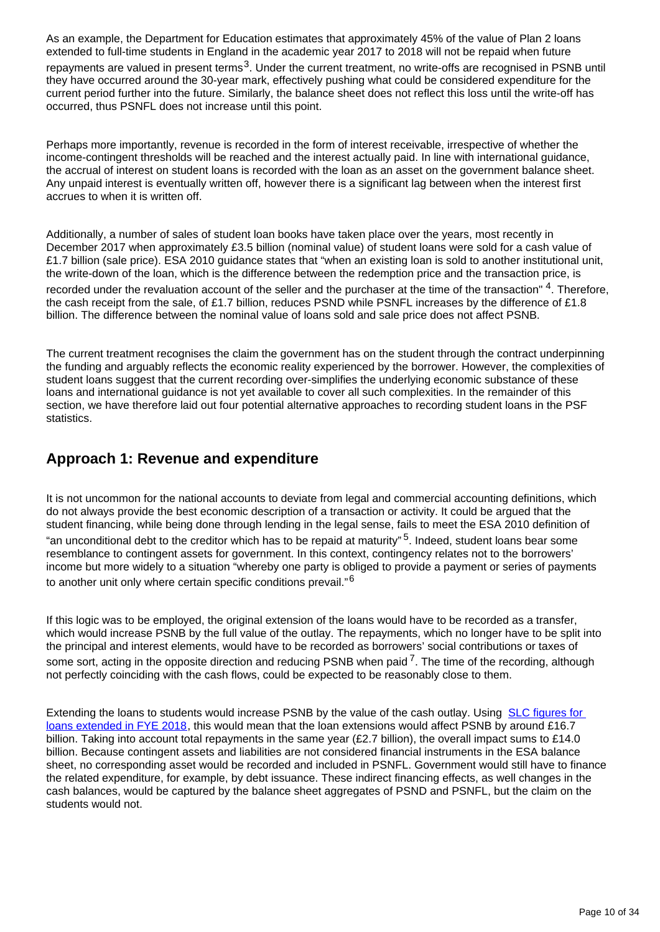As an example, the Department for Education estimates that approximately 45% of the value of Plan 2 loans extended to full-time students in England in the academic year 2017 to 2018 will not be repaid when future repayments are valued in present terms<sup>3</sup>. Under the current treatment, no write-offs are recognised in PSNB until they have occurred around the 30-year mark, effectively pushing what could be considered expenditure for the current period further into the future. Similarly, the balance sheet does not reflect this loss until the write-off has occurred, thus PSNFL does not increase until this point.

Perhaps more importantly, revenue is recorded in the form of interest receivable, irrespective of whether the income-contingent thresholds will be reached and the interest actually paid. In line with international guidance, the accrual of interest on student loans is recorded with the loan as an asset on the government balance sheet. Any unpaid interest is eventually written off, however there is a significant lag between when the interest first accrues to when it is written off.

Additionally, a number of sales of student loan books have taken place over the years, most recently in December 2017 when approximately £3.5 billion (nominal value) of student loans were sold for a cash value of £1.7 billion (sale price). ESA 2010 guidance states that "when an existing loan is sold to another institutional unit, the write-down of the loan, which is the difference between the redemption price and the transaction price, is recorded under the revaluation account of the seller and the purchaser at the time of the transaction"  $4$ . Therefore, the cash receipt from the sale, of £1.7 billion, reduces PSND while PSNFL increases by the difference of £1.8 billion. The difference between the nominal value of loans sold and sale price does not affect PSNB.

The current treatment recognises the claim the government has on the student through the contract underpinning the funding and arguably reflects the economic reality experienced by the borrower. However, the complexities of student loans suggest that the current recording over-simplifies the underlying economic substance of these loans and international guidance is not yet available to cover all such complexities. In the remainder of this section, we have therefore laid out four potential alternative approaches to recording student loans in the PSF statistics.

### **Approach 1: Revenue and expenditure**

It is not uncommon for the national accounts to deviate from legal and commercial accounting definitions, which do not always provide the best economic description of a transaction or activity. It could be argued that the student financing, while being done through lending in the legal sense, fails to meet the ESA 2010 definition of "an unconditional debt to the creditor which has to be repaid at maturity"  $5$ . Indeed, student loans bear some resemblance to contingent assets for government. In this context, contingency relates not to the borrowers' income but more widely to a situation "whereby one party is obliged to provide a payment or series of payments to another unit only where certain specific conditions prevail."<sup>6</sup>

If this logic was to be employed, the original extension of the loans would have to be recorded as a transfer, which would increase PSNB by the full value of the outlay. The repayments, which no longer have to be split into the principal and interest elements, would have to be recorded as borrowers' social contributions or taxes of some sort, acting in the opposite direction and reducing PSNB when paid  $^7$ . The time of the recording, although not perfectly coinciding with the cash flows, could be expected to be reasonably close to them.

Extending the loans to students would increase PSNB by the value of the cash outlay. Using [SLC figures for](https://www.slc.co.uk/official-statistics/student-loans-debt-and-repayment.aspx)  [loans extended in FYE 2018](https://www.slc.co.uk/official-statistics/student-loans-debt-and-repayment.aspx), this would mean that the loan extensions would affect PSNB by around £16.7 billion. Taking into account total repayments in the same year (£2.7 billion), the overall impact sums to £14.0 billion. Because contingent assets and liabilities are not considered financial instruments in the ESA balance sheet, no corresponding asset would be recorded and included in PSNFL. Government would still have to finance the related expenditure, for example, by debt issuance. These indirect financing effects, as well changes in the cash balances, would be captured by the balance sheet aggregates of PSND and PSNFL, but the claim on the students would not.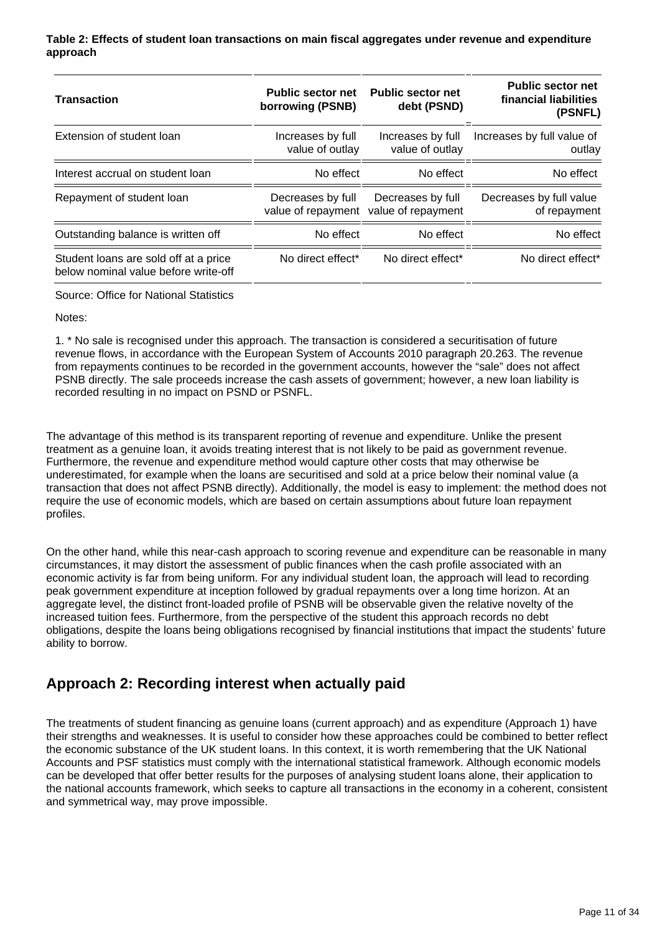**Table 2: Effects of student loan transactions on main fiscal aggregates under revenue and expenditure approach**

| <b>Transaction</b>                                                            | <b>Public sector net</b><br>borrowing (PSNB) | <b>Public sector net</b><br>debt (PSND)                    | <b>Public sector net</b><br>financial liabilities<br>(PSNFL) |
|-------------------------------------------------------------------------------|----------------------------------------------|------------------------------------------------------------|--------------------------------------------------------------|
| Extension of student loan                                                     | Increases by full<br>value of outlay         | Increases by full<br>value of outlay                       | Increases by full value of<br>outlay                         |
| Interest accrual on student loan                                              | No effect                                    | No effect                                                  | No effect                                                    |
| Repayment of student loan                                                     | Decreases by full                            | Decreases by full<br>value of repayment value of repayment | Decreases by full value<br>of repayment                      |
| Outstanding balance is written off                                            | No effect                                    | No effect                                                  | No effect                                                    |
| Student loans are sold off at a price<br>below nominal value before write-off | No direct effect*                            | No direct effect*                                          | No direct effect*                                            |

Source: Office for National Statistics

Notes:

1. \* No sale is recognised under this approach. The transaction is considered a securitisation of future revenue flows, in accordance with the European System of Accounts 2010 paragraph 20.263. The revenue from repayments continues to be recorded in the government accounts, however the "sale" does not affect PSNB directly. The sale proceeds increase the cash assets of government; however, a new loan liability is recorded resulting in no impact on PSND or PSNFL.

The advantage of this method is its transparent reporting of revenue and expenditure. Unlike the present treatment as a genuine loan, it avoids treating interest that is not likely to be paid as government revenue. Furthermore, the revenue and expenditure method would capture other costs that may otherwise be underestimated, for example when the loans are securitised and sold at a price below their nominal value (a transaction that does not affect PSNB directly). Additionally, the model is easy to implement: the method does not require the use of economic models, which are based on certain assumptions about future loan repayment profiles.

On the other hand, while this near-cash approach to scoring revenue and expenditure can be reasonable in many circumstances, it may distort the assessment of public finances when the cash profile associated with an economic activity is far from being uniform. For any individual student loan, the approach will lead to recording peak government expenditure at inception followed by gradual repayments over a long time horizon. At an aggregate level, the distinct front-loaded profile of PSNB will be observable given the relative novelty of the increased tuition fees. Furthermore, from the perspective of the student this approach records no debt obligations, despite the loans being obligations recognised by financial institutions that impact the students' future ability to borrow.

## **Approach 2: Recording interest when actually paid**

The treatments of student financing as genuine loans (current approach) and as expenditure (Approach 1) have their strengths and weaknesses. It is useful to consider how these approaches could be combined to better reflect the economic substance of the UK student loans. In this context, it is worth remembering that the UK National Accounts and PSF statistics must comply with the international statistical framework. Although economic models can be developed that offer better results for the purposes of analysing student loans alone, their application to the national accounts framework, which seeks to capture all transactions in the economy in a coherent, consistent and symmetrical way, may prove impossible.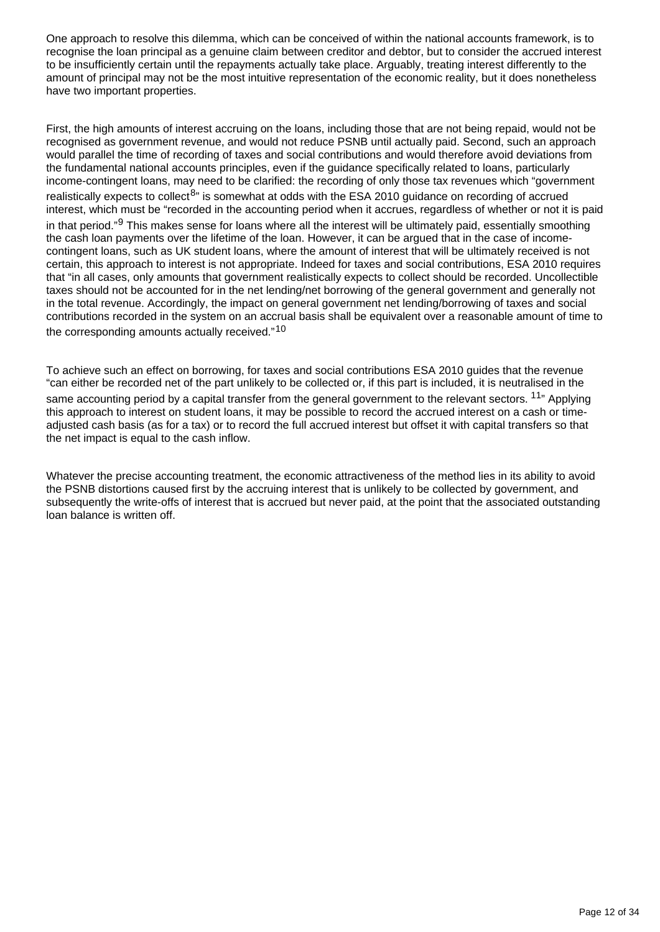One approach to resolve this dilemma, which can be conceived of within the national accounts framework, is to recognise the loan principal as a genuine claim between creditor and debtor, but to consider the accrued interest to be insufficiently certain until the repayments actually take place. Arguably, treating interest differently to the amount of principal may not be the most intuitive representation of the economic reality, but it does nonetheless have two important properties.

First, the high amounts of interest accruing on the loans, including those that are not being repaid, would not be recognised as government revenue, and would not reduce PSNB until actually paid. Second, such an approach would parallel the time of recording of taxes and social contributions and would therefore avoid deviations from the fundamental national accounts principles, even if the guidance specifically related to loans, particularly income-contingent loans, may need to be clarified: the recording of only those tax revenues which "government realistically expects to collect<sup>8</sup>" is somewhat at odds with the ESA 2010 guidance on recording of accrued interest, which must be "recorded in the accounting period when it accrues, regardless of whether or not it is paid in that period." This makes sense for loans where all the interest will be ultimately paid, essentially smoothing the cash loan payments over the lifetime of the loan. However, it can be argued that in the case of incomecontingent loans, such as UK student loans, where the amount of interest that will be ultimately received is not certain, this approach to interest is not appropriate. Indeed for taxes and social contributions, ESA 2010 requires that "in all cases, only amounts that government realistically expects to collect should be recorded. Uncollectible taxes should not be accounted for in the net lending/net borrowing of the general government and generally not in the total revenue. Accordingly, the impact on general government net lending/borrowing of taxes and social contributions recorded in the system on an accrual basis shall be equivalent over a reasonable amount of time to the corresponding amounts actually received."<sup>10</sup>

To achieve such an effect on borrowing, for taxes and social contributions ESA 2010 guides that the revenue "can either be recorded net of the part unlikely to be collected or, if this part is included, it is neutralised in the same accounting period by a capital transfer from the general government to the relevant sectors. <sup>11</sup><sup>n</sup> Applying this approach to interest on student loans, it may be possible to record the accrued interest on a cash or timeadjusted cash basis (as for a tax) or to record the full accrued interest but offset it with capital transfers so that the net impact is equal to the cash inflow.

Whatever the precise accounting treatment, the economic attractiveness of the method lies in its ability to avoid the PSNB distortions caused first by the accruing interest that is unlikely to be collected by government, and subsequently the write-offs of interest that is accrued but never paid, at the point that the associated outstanding loan balance is written off.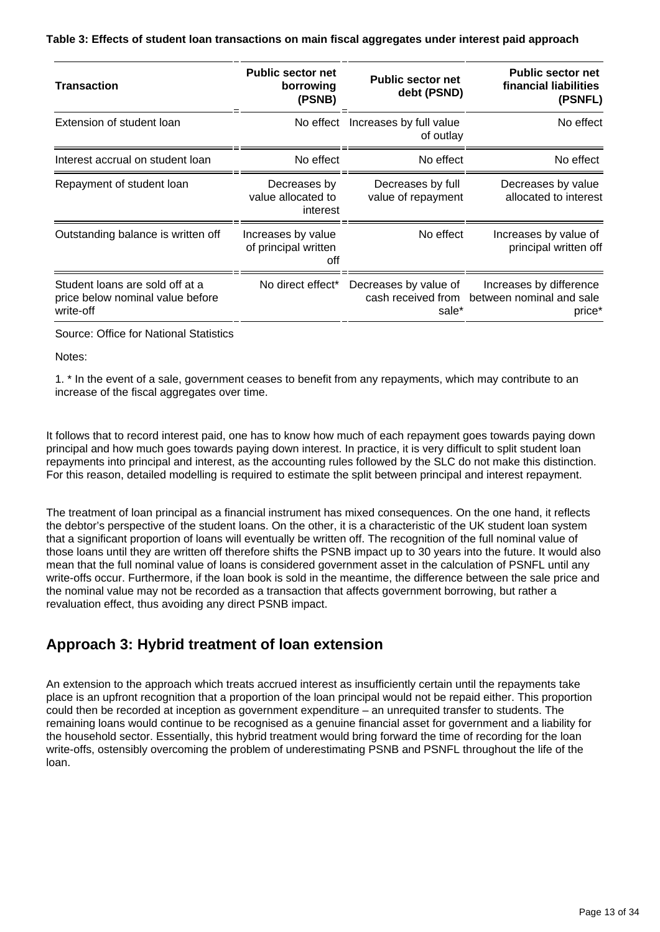#### **Table 3: Effects of student loan transactions on main fiscal aggregates under interest paid approach**

| <b>Transaction</b>                                                               | <b>Public sector net</b><br>borrowing<br>(PSNB)   | <b>Public sector net</b><br>debt (PSND)              | <b>Public sector net</b><br>financial liabilities<br>(PSNFL)  |
|----------------------------------------------------------------------------------|---------------------------------------------------|------------------------------------------------------|---------------------------------------------------------------|
| Extension of student loan                                                        | No effect                                         | Increases by full value<br>of outlay                 | No effect                                                     |
| Interest accrual on student loan                                                 | No effect                                         | No effect                                            | No effect                                                     |
| Repayment of student loan                                                        | Decreases by<br>value allocated to<br>interest    | Decreases by full<br>value of repayment              | Decreases by value<br>allocated to interest                   |
| Outstanding balance is written off                                               | Increases by value<br>of principal written<br>off | No effect                                            | Increases by value of<br>principal written off                |
| Student loans are sold off at a<br>price below nominal value before<br>write-off | No direct effect*                                 | Decreases by value of<br>cash received from<br>sale* | Increases by difference<br>between nominal and sale<br>price* |

Source: Office for National Statistics

Notes:

1. \* In the event of a sale, government ceases to benefit from any repayments, which may contribute to an increase of the fiscal aggregates over time.

It follows that to record interest paid, one has to know how much of each repayment goes towards paying down principal and how much goes towards paying down interest. In practice, it is very difficult to split student loan repayments into principal and interest, as the accounting rules followed by the SLC do not make this distinction. For this reason, detailed modelling is required to estimate the split between principal and interest repayment.

The treatment of loan principal as a financial instrument has mixed consequences. On the one hand, it reflects the debtor's perspective of the student loans. On the other, it is a characteristic of the UK student loan system that a significant proportion of loans will eventually be written off. The recognition of the full nominal value of those loans until they are written off therefore shifts the PSNB impact up to 30 years into the future. It would also mean that the full nominal value of loans is considered government asset in the calculation of PSNFL until any write-offs occur. Furthermore, if the loan book is sold in the meantime, the difference between the sale price and the nominal value may not be recorded as a transaction that affects government borrowing, but rather a revaluation effect, thus avoiding any direct PSNB impact.

### **Approach 3: Hybrid treatment of loan extension**

An extension to the approach which treats accrued interest as insufficiently certain until the repayments take place is an upfront recognition that a proportion of the loan principal would not be repaid either. This proportion could then be recorded at inception as government expenditure – an unrequited transfer to students. The remaining loans would continue to be recognised as a genuine financial asset for government and a liability for the household sector. Essentially, this hybrid treatment would bring forward the time of recording for the loan write-offs, ostensibly overcoming the problem of underestimating PSNB and PSNFL throughout the life of the loan.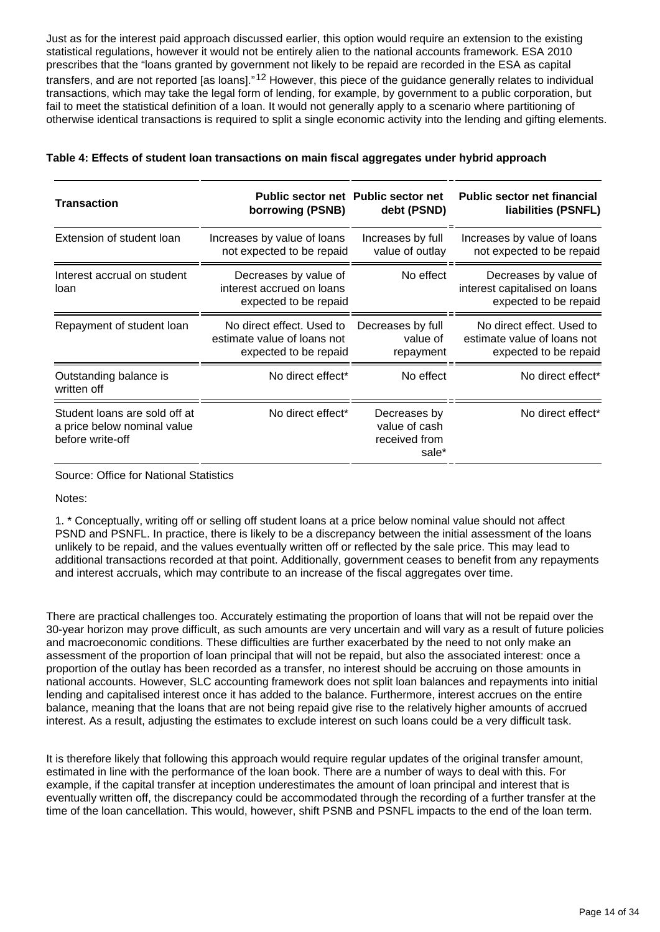Just as for the interest paid approach discussed earlier, this option would require an extension to the existing statistical regulations, however it would not be entirely alien to the national accounts framework. ESA 2010 prescribes that the "loans granted by government not likely to be repaid are recorded in the ESA as capital transfers, and are not reported [as loans]."<sup>12</sup> However, this piece of the guidance generally relates to individual transactions, which may take the legal form of lending, for example, by government to a public corporation, but fail to meet the statistical definition of a loan. It would not generally apply to a scenario where partitioning of otherwise identical transactions is required to split a single economic activity into the lending and gifting elements.

| Transaction                                                                      | borrowing (PSNB)                                                                  | <b>Public sector net Public sector net</b><br>debt (PSND) | <b>Public sector net financial</b><br>liabilities (PSNFL)                         |
|----------------------------------------------------------------------------------|-----------------------------------------------------------------------------------|-----------------------------------------------------------|-----------------------------------------------------------------------------------|
| Extension of student loan                                                        | Increases by value of loans<br>not expected to be repaid                          | Increases by full<br>value of outlay                      | Increases by value of loans<br>not expected to be repaid                          |
| Interest accrual on student<br>loan                                              | Decreases by value of<br>interest accrued on loans<br>expected to be repaid       | No effect                                                 | Decreases by value of<br>interest capitalised on loans<br>expected to be repaid   |
| Repayment of student loan                                                        | No direct effect. Used to<br>estimate value of loans not<br>expected to be repaid | Decreases by full<br>value of<br>repayment                | No direct effect. Used to<br>estimate value of loans not<br>expected to be repaid |
| Outstanding balance is<br>written off                                            | No direct effect*                                                                 | No effect                                                 | No direct effect*                                                                 |
| Student loans are sold off at<br>a price below nominal value<br>before write-off | No direct effect*                                                                 | Decreases by<br>value of cash<br>received from<br>sale*   | No direct effect*                                                                 |

#### **Table 4: Effects of student loan transactions on main fiscal aggregates under hybrid approach**

#### Source: Office for National Statistics

Notes:

1. \* Conceptually, writing off or selling off student loans at a price below nominal value should not affect PSND and PSNFL. In practice, there is likely to be a discrepancy between the initial assessment of the loans unlikely to be repaid, and the values eventually written off or reflected by the sale price. This may lead to additional transactions recorded at that point. Additionally, government ceases to benefit from any repayments and interest accruals, which may contribute to an increase of the fiscal aggregates over time.

There are practical challenges too. Accurately estimating the proportion of loans that will not be repaid over the 30-year horizon may prove difficult, as such amounts are very uncertain and will vary as a result of future policies and macroeconomic conditions. These difficulties are further exacerbated by the need to not only make an assessment of the proportion of loan principal that will not be repaid, but also the associated interest: once a proportion of the outlay has been recorded as a transfer, no interest should be accruing on those amounts in national accounts. However, SLC accounting framework does not split loan balances and repayments into initial lending and capitalised interest once it has added to the balance. Furthermore, interest accrues on the entire balance, meaning that the loans that are not being repaid give rise to the relatively higher amounts of accrued interest. As a result, adjusting the estimates to exclude interest on such loans could be a very difficult task.

It is therefore likely that following this approach would require regular updates of the original transfer amount, estimated in line with the performance of the loan book. There are a number of ways to deal with this. For example, if the capital transfer at inception underestimates the amount of loan principal and interest that is eventually written off, the discrepancy could be accommodated through the recording of a further transfer at the time of the loan cancellation. This would, however, shift PSNB and PSNFL impacts to the end of the loan term.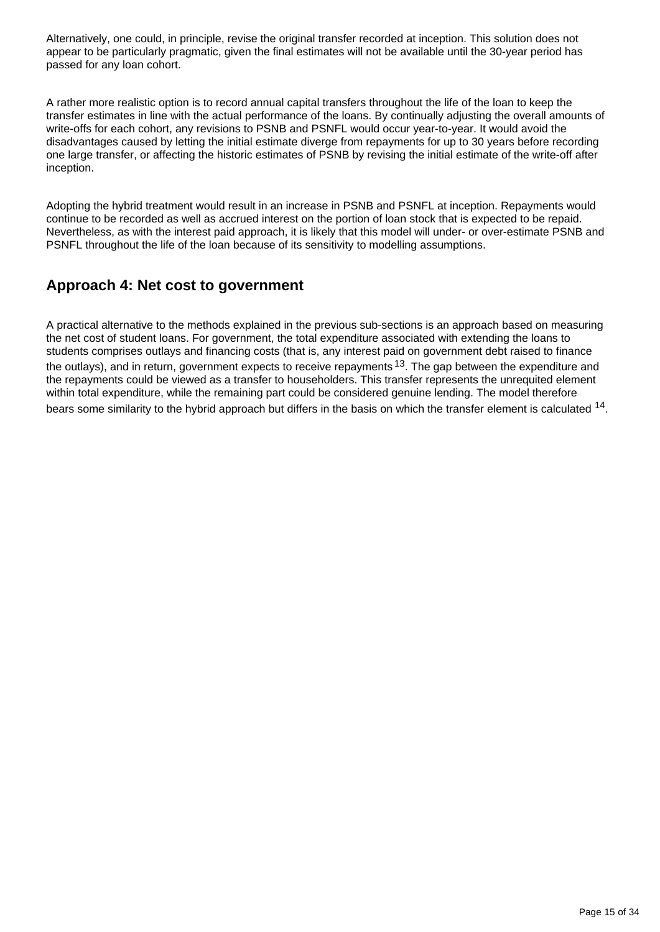Alternatively, one could, in principle, revise the original transfer recorded at inception. This solution does not appear to be particularly pragmatic, given the final estimates will not be available until the 30-year period has passed for any loan cohort.

A rather more realistic option is to record annual capital transfers throughout the life of the loan to keep the transfer estimates in line with the actual performance of the loans. By continually adjusting the overall amounts of write-offs for each cohort, any revisions to PSNB and PSNFL would occur year-to-year. It would avoid the disadvantages caused by letting the initial estimate diverge from repayments for up to 30 years before recording one large transfer, or affecting the historic estimates of PSNB by revising the initial estimate of the write-off after inception.

Adopting the hybrid treatment would result in an increase in PSNB and PSNFL at inception. Repayments would continue to be recorded as well as accrued interest on the portion of loan stock that is expected to be repaid. Nevertheless, as with the interest paid approach, it is likely that this model will under- or over-estimate PSNB and PSNFL throughout the life of the loan because of its sensitivity to modelling assumptions.

## **Approach 4: Net cost to government**

A practical alternative to the methods explained in the previous sub-sections is an approach based on measuring the net cost of student loans. For government, the total expenditure associated with extending the loans to students comprises outlays and financing costs (that is, any interest paid on government debt raised to finance the outlays), and in return, government expects to receive repayments  $13$ . The gap between the expenditure and the repayments could be viewed as a transfer to householders. This transfer represents the unrequited element within total expenditure, while the remaining part could be considered genuine lending. The model therefore bears some similarity to the hybrid approach but differs in the basis on which the transfer element is calculated  $^{14}$ .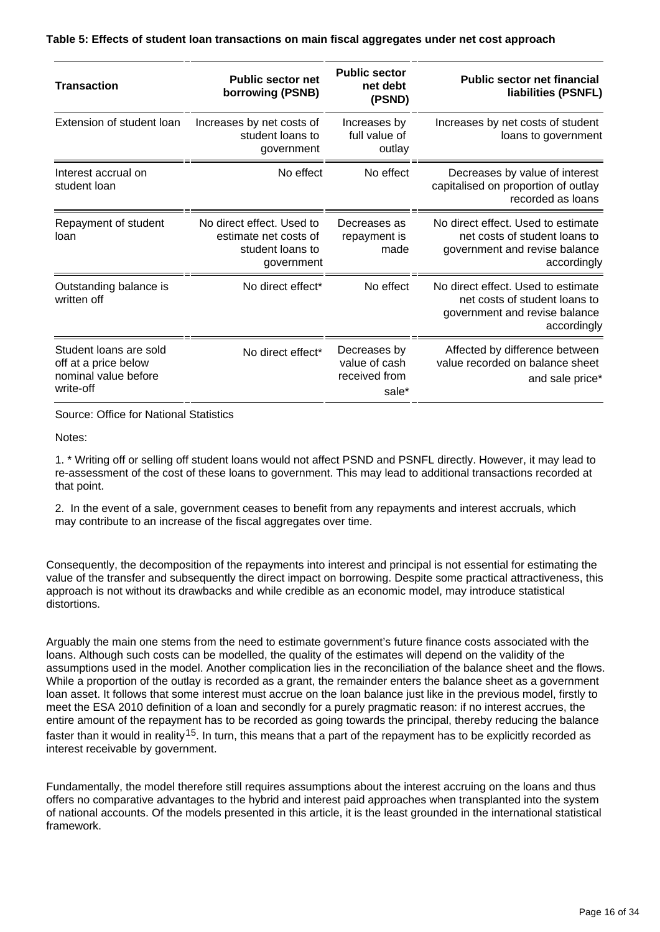| <b>Transaction</b>                                                                  | <b>Public sector net</b><br>borrowing (PSNB)                                         | <b>Public sector</b><br>net debt<br>(PSND)              | <b>Public sector net financial</b><br>liabilities (PSNFL)                                                           |
|-------------------------------------------------------------------------------------|--------------------------------------------------------------------------------------|---------------------------------------------------------|---------------------------------------------------------------------------------------------------------------------|
| Extension of student loan                                                           | Increases by net costs of<br>student loans to<br>government                          | Increases by<br>full value of<br>outlay                 | Increases by net costs of student<br>loans to government                                                            |
| Interest accrual on<br>student loan                                                 | No effect                                                                            | No effect                                               | Decreases by value of interest<br>capitalised on proportion of outlay<br>recorded as loans                          |
| Repayment of student<br>loan                                                        | No direct effect. Used to<br>estimate net costs of<br>student loans to<br>government | Decreases as<br>repayment is<br>made                    | No direct effect. Used to estimate<br>net costs of student loans to<br>government and revise balance<br>accordingly |
| Outstanding balance is<br>written off                                               | No direct effect*                                                                    | No effect                                               | No direct effect. Used to estimate<br>net costs of student loans to<br>government and revise balance<br>accordingly |
| Student loans are sold<br>off at a price below<br>nominal value before<br>write-off | No direct effect*                                                                    | Decreases by<br>value of cash<br>received from<br>sale* | Affected by difference between<br>value recorded on balance sheet<br>and sale price*                                |

Source: Office for National Statistics

Notes:

1. \* Writing off or selling off student loans would not affect PSND and PSNFL directly. However, it may lead to re-assessment of the cost of these loans to government. This may lead to additional transactions recorded at that point.

2. In the event of a sale, government ceases to benefit from any repayments and interest accruals, which may contribute to an increase of the fiscal aggregates over time.

Consequently, the decomposition of the repayments into interest and principal is not essential for estimating the value of the transfer and subsequently the direct impact on borrowing. Despite some practical attractiveness, this approach is not without its drawbacks and while credible as an economic model, may introduce statistical distortions.

Arguably the main one stems from the need to estimate government's future finance costs associated with the loans. Although such costs can be modelled, the quality of the estimates will depend on the validity of the assumptions used in the model. Another complication lies in the reconciliation of the balance sheet and the flows. While a proportion of the outlay is recorded as a grant, the remainder enters the balance sheet as a government loan asset. It follows that some interest must accrue on the loan balance just like in the previous model, firstly to meet the ESA 2010 definition of a loan and secondly for a purely pragmatic reason: if no interest accrues, the entire amount of the repayment has to be recorded as going towards the principal, thereby reducing the balance faster than it would in reality <sup>15</sup>. In turn, this means that a part of the repayment has to be explicitly recorded as interest receivable by government.

Fundamentally, the model therefore still requires assumptions about the interest accruing on the loans and thus offers no comparative advantages to the hybrid and interest paid approaches when transplanted into the system of national accounts. Of the models presented in this article, it is the least grounded in the international statistical framework.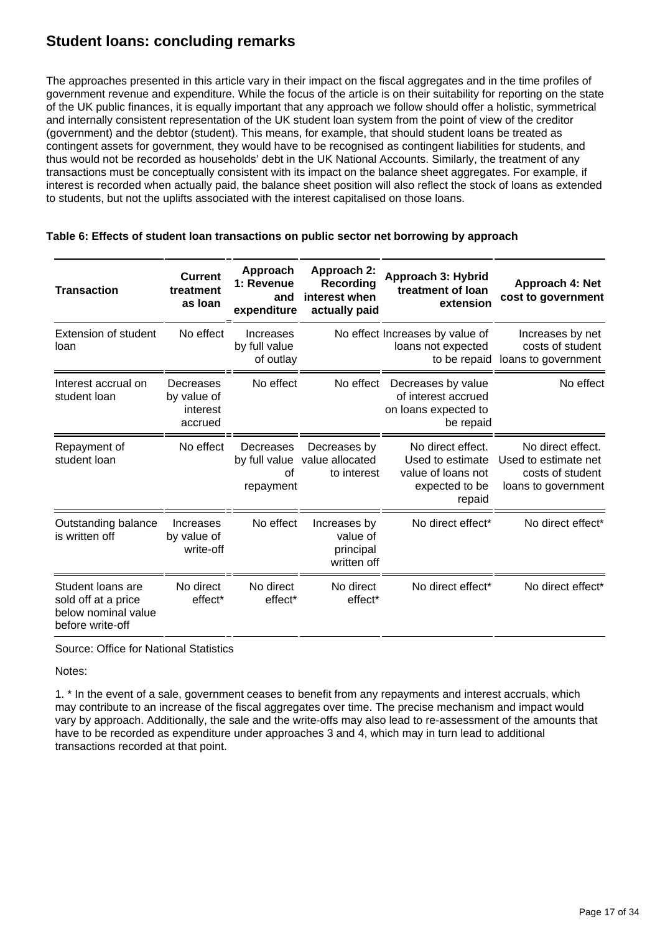### **Student loans: concluding remarks**

The approaches presented in this article vary in their impact on the fiscal aggregates and in the time profiles of government revenue and expenditure. While the focus of the article is on their suitability for reporting on the state of the UK public finances, it is equally important that any approach we follow should offer a holistic, symmetrical and internally consistent representation of the UK student loan system from the point of view of the creditor (government) and the debtor (student). This means, for example, that should student loans be treated as contingent assets for government, they would have to be recognised as contingent liabilities for students, and thus would not be recorded as households' debt in the UK National Accounts. Similarly, the treatment of any transactions must be conceptually consistent with its impact on the balance sheet aggregates. For example, if interest is recorded when actually paid, the balance sheet position will also reflect the stock of loans as extended to students, but not the uplifts associated with the interest capitalised on those loans.

| <b>Transaction</b>                                                                  | <b>Current</b><br>treatment<br>as Ioan          | Approach<br>1: Revenue<br>and<br>expenditure  | Approach 2:<br>Recording<br>interest when<br>actually paid | Approach 3: Hybrid<br>treatment of loan<br>extension                                    | Approach 4: Net<br>cost to government                                                |
|-------------------------------------------------------------------------------------|-------------------------------------------------|-----------------------------------------------|------------------------------------------------------------|-----------------------------------------------------------------------------------------|--------------------------------------------------------------------------------------|
| <b>Extension of student</b><br>loan                                                 | No effect                                       | Increases<br>by full value<br>of outlay       |                                                            | No effect Increases by value of<br>loans not expected<br>to be repaid                   | Increases by net<br>costs of student<br>loans to government                          |
| Interest accrual on<br>student loan                                                 | Decreases<br>by value of<br>interest<br>accrued | No effect                                     | No effect                                                  | Decreases by value<br>of interest accrued<br>on loans expected to<br>be repaid          | No effect                                                                            |
| Repayment of<br>student loan                                                        | No effect                                       | Decreases<br>by full value<br>Ωf<br>repayment | Decreases by<br>value allocated<br>to interest             | No direct effect.<br>Used to estimate<br>value of loans not<br>expected to be<br>repaid | No direct effect.<br>Used to estimate net<br>costs of student<br>loans to government |
| Outstanding balance<br>is written off                                               | Increases<br>by value of<br>write-off           | No effect                                     | Increases by<br>value of<br>principal<br>written off       | No direct effect*                                                                       | No direct effect*                                                                    |
| Student loans are<br>sold off at a price<br>below nominal value<br>before write-off | No direct<br>effect*                            | No direct<br>effect*                          | No direct<br>effect*                                       | No direct effect*                                                                       | No direct effect*                                                                    |

#### **Table 6: Effects of student loan transactions on public sector net borrowing by approach**

Source: Office for National Statistics

Notes:

1. \* In the event of a sale, government ceases to benefit from any repayments and interest accruals, which may contribute to an increase of the fiscal aggregates over time. The precise mechanism and impact would vary by approach. Additionally, the sale and the write-offs may also lead to re-assessment of the amounts that have to be recorded as expenditure under approaches 3 and 4, which may in turn lead to additional transactions recorded at that point.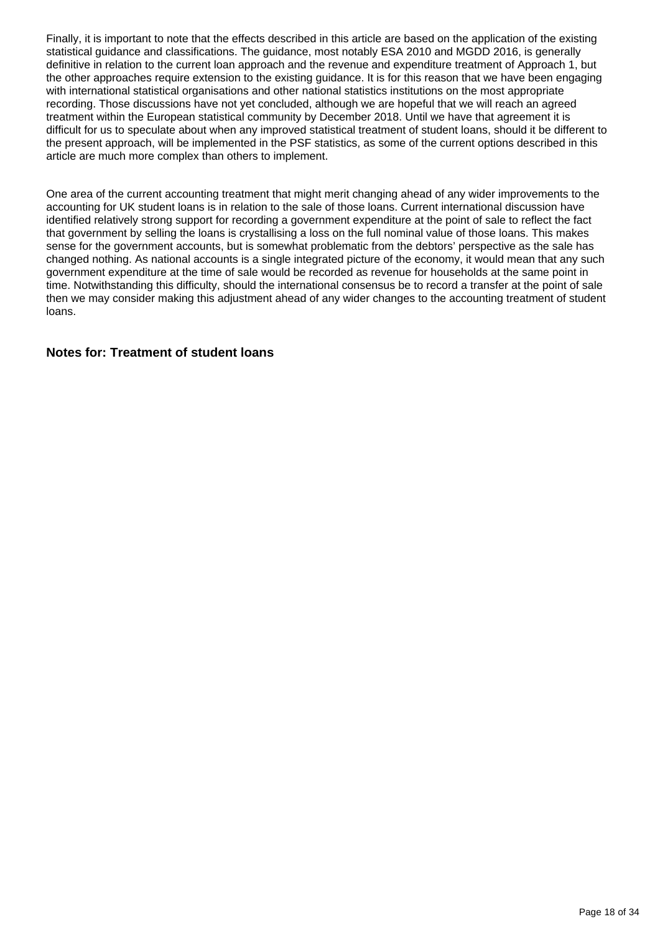Finally, it is important to note that the effects described in this article are based on the application of the existing statistical guidance and classifications. The guidance, most notably ESA 2010 and MGDD 2016, is generally definitive in relation to the current loan approach and the revenue and expenditure treatment of Approach 1, but the other approaches require extension to the existing guidance. It is for this reason that we have been engaging with international statistical organisations and other national statistics institutions on the most appropriate recording. Those discussions have not yet concluded, although we are hopeful that we will reach an agreed treatment within the European statistical community by December 2018. Until we have that agreement it is difficult for us to speculate about when any improved statistical treatment of student loans, should it be different to the present approach, will be implemented in the PSF statistics, as some of the current options described in this article are much more complex than others to implement.

One area of the current accounting treatment that might merit changing ahead of any wider improvements to the accounting for UK student loans is in relation to the sale of those loans. Current international discussion have identified relatively strong support for recording a government expenditure at the point of sale to reflect the fact that government by selling the loans is crystallising a loss on the full nominal value of those loans. This makes sense for the government accounts, but is somewhat problematic from the debtors' perspective as the sale has changed nothing. As national accounts is a single integrated picture of the economy, it would mean that any such government expenditure at the time of sale would be recorded as revenue for households at the same point in time. Notwithstanding this difficulty, should the international consensus be to record a transfer at the point of sale then we may consider making this adjustment ahead of any wider changes to the accounting treatment of student loans.

#### **Notes for: Treatment of student loans**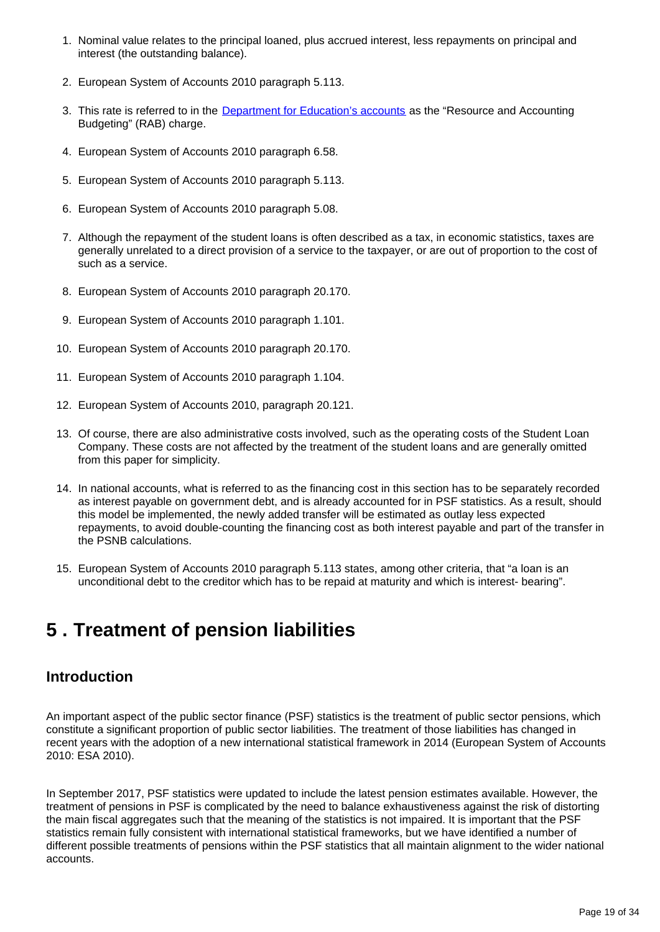- 1. Nominal value relates to the principal loaned, plus accrued interest, less repayments on principal and interest (the outstanding balance).
- 2. European System of Accounts 2010 paragraph 5.113.
- 3. This rate is referred to in the *[Department for Education's accounts](https://assets.publishing.service.gov.uk/government/uploads/system/uploads/attachment_data/file/719817/Student_loan_forecasts_2017-18.pdf)* as the "Resource and Accounting Budgeting" (RAB) charge.
- 4. European System of Accounts 2010 paragraph 6.58.
- 5. European System of Accounts 2010 paragraph 5.113.
- 6. European System of Accounts 2010 paragraph 5.08.
- 7. Although the repayment of the student loans is often described as a tax, in economic statistics, taxes are generally unrelated to a direct provision of a service to the taxpayer, or are out of proportion to the cost of such as a service.
- 8. European System of Accounts 2010 paragraph 20.170.
- 9. European System of Accounts 2010 paragraph 1.101.
- 10. European System of Accounts 2010 paragraph 20.170.
- 11. European System of Accounts 2010 paragraph 1.104.
- 12. European System of Accounts 2010, paragraph 20.121.
- 13. Of course, there are also administrative costs involved, such as the operating costs of the Student Loan Company. These costs are not affected by the treatment of the student loans and are generally omitted from this paper for simplicity.
- 14. In national accounts, what is referred to as the financing cost in this section has to be separately recorded as interest payable on government debt, and is already accounted for in PSF statistics. As a result, should this model be implemented, the newly added transfer will be estimated as outlay less expected repayments, to avoid double-counting the financing cost as both interest payable and part of the transfer in the PSNB calculations.
- 15. European System of Accounts 2010 paragraph 5.113 states, among other criteria, that "a loan is an unconditional debt to the creditor which has to be repaid at maturity and which is interest- bearing".

## <span id="page-18-0"></span>**5 . Treatment of pension liabilities**

### **Introduction**

An important aspect of the public sector finance (PSF) statistics is the treatment of public sector pensions, which constitute a significant proportion of public sector liabilities. The treatment of those liabilities has changed in recent years with the adoption of a new international statistical framework in 2014 (European System of Accounts 2010: ESA 2010).

In September 2017, PSF statistics were updated to include the latest pension estimates available. However, the treatment of pensions in PSF is complicated by the need to balance exhaustiveness against the risk of distorting the main fiscal aggregates such that the meaning of the statistics is not impaired. It is important that the PSF statistics remain fully consistent with international statistical frameworks, but we have identified a number of different possible treatments of pensions within the PSF statistics that all maintain alignment to the wider national accounts.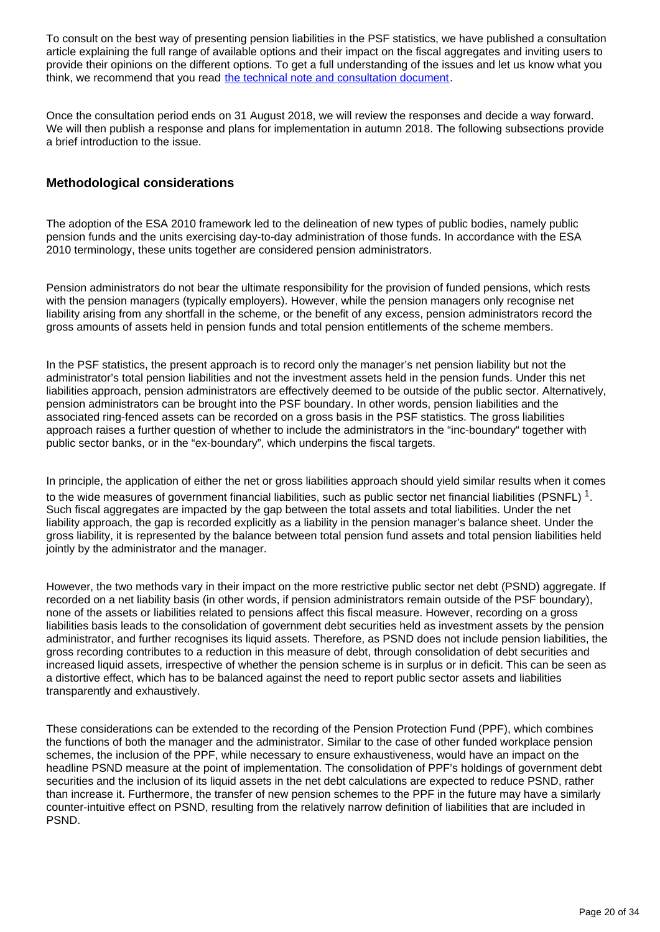To consult on the best way of presenting pension liabilities in the PSF statistics, we have published a consultation article explaining the full range of available options and their impact on the fiscal aggregates and inviting users to provide their opinions on the different options. To get a full understanding of the issues and let us know what you think, we recommend that you read [the technical note and consultation document.](https://www.ons.gov.uk/economy/governmentpublicsectorandtaxes/publicsectorfinance/methodologies/pensionsinpublicsectorfinancestechnicalnoteandconsultationdocument)

Once the consultation period ends on 31 August 2018, we will review the responses and decide a way forward. We will then publish a response and plans for implementation in autumn 2018. The following subsections provide a brief introduction to the issue.

#### **Methodological considerations**

The adoption of the ESA 2010 framework led to the delineation of new types of public bodies, namely public pension funds and the units exercising day-to-day administration of those funds. In accordance with the ESA 2010 terminology, these units together are considered pension administrators.

Pension administrators do not bear the ultimate responsibility for the provision of funded pensions, which rests with the pension managers (typically employers). However, while the pension managers only recognise net liability arising from any shortfall in the scheme, or the benefit of any excess, pension administrators record the gross amounts of assets held in pension funds and total pension entitlements of the scheme members.

In the PSF statistics, the present approach is to record only the manager's net pension liability but not the administrator's total pension liabilities and not the investment assets held in the pension funds. Under this net liabilities approach, pension administrators are effectively deemed to be outside of the public sector. Alternatively, pension administrators can be brought into the PSF boundary. In other words, pension liabilities and the associated ring-fenced assets can be recorded on a gross basis in the PSF statistics. The gross liabilities approach raises a further question of whether to include the administrators in the "inc-boundary" together with public sector banks, or in the "ex-boundary", which underpins the fiscal targets.

In principle, the application of either the net or gross liabilities approach should yield similar results when it comes to the wide measures of government financial liabilities, such as public sector net financial liabilities (PSNFL)  $1$ . Such fiscal aggregates are impacted by the gap between the total assets and total liabilities. Under the net liability approach, the gap is recorded explicitly as a liability in the pension manager's balance sheet. Under the gross liability, it is represented by the balance between total pension fund assets and total pension liabilities held jointly by the administrator and the manager.

However, the two methods vary in their impact on the more restrictive public sector net debt (PSND) aggregate. If recorded on a net liability basis (in other words, if pension administrators remain outside of the PSF boundary), none of the assets or liabilities related to pensions affect this fiscal measure. However, recording on a gross liabilities basis leads to the consolidation of government debt securities held as investment assets by the pension administrator, and further recognises its liquid assets. Therefore, as PSND does not include pension liabilities, the gross recording contributes to a reduction in this measure of debt, through consolidation of debt securities and increased liquid assets, irrespective of whether the pension scheme is in surplus or in deficit. This can be seen as a distortive effect, which has to be balanced against the need to report public sector assets and liabilities transparently and exhaustively.

These considerations can be extended to the recording of the Pension Protection Fund (PPF), which combines the functions of both the manager and the administrator. Similar to the case of other funded workplace pension schemes, the inclusion of the PPF, while necessary to ensure exhaustiveness, would have an impact on the headline PSND measure at the point of implementation. The consolidation of PPF's holdings of government debt securities and the inclusion of its liquid assets in the net debt calculations are expected to reduce PSND, rather than increase it. Furthermore, the transfer of new pension schemes to the PPF in the future may have a similarly counter-intuitive effect on PSND, resulting from the relatively narrow definition of liabilities that are included in PSND.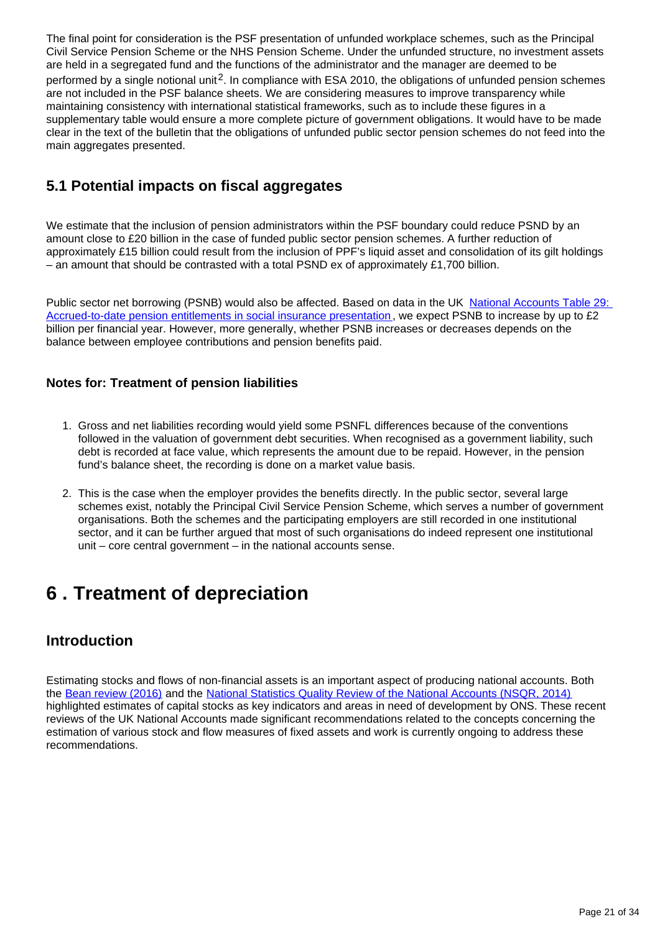The final point for consideration is the PSF presentation of unfunded workplace schemes, such as the Principal Civil Service Pension Scheme or the NHS Pension Scheme. Under the unfunded structure, no investment assets are held in a segregated fund and the functions of the administrator and the manager are deemed to be performed by a single notional unit<sup>2</sup>. In compliance with ESA 2010, the obligations of unfunded pension schemes are not included in the PSF balance sheets. We are considering measures to improve transparency while maintaining consistency with international statistical frameworks, such as to include these figures in a supplementary table would ensure a more complete picture of government obligations. It would have to be made clear in the text of the bulletin that the obligations of unfunded public sector pension schemes do not feed into the main aggregates presented.

## **5.1 Potential impacts on fiscal aggregates**

We estimate that the inclusion of pension administrators within the PSF boundary could reduce PSND by an amount close to £20 billion in the case of funded public sector pension schemes. A further reduction of approximately £15 billion could result from the inclusion of PPF's liquid asset and consolidation of its gilt holdings – an amount that should be contrasted with a total PSND ex of approximately £1,700 billion.

Public sector net borrowing (PSNB) would also be affected. Based on data in the UK National Accounts Table 29: [Accrued-to-date pension entitlements in social insurance presentation](https://www.ons.gov.uk/economy/nationalaccounts/uksectoraccounts/datasets/uknationalaccountstable29accruedtodatepensionentitlementsinsocialinsurance) , we expect PSNB to increase by up to £2 billion per financial year. However, more generally, whether PSNB increases or decreases depends on the balance between employee contributions and pension benefits paid.

### **Notes for: Treatment of pension liabilities**

- 1. Gross and net liabilities recording would yield some PSNFL differences because of the conventions followed in the valuation of government debt securities. When recognised as a government liability, such debt is recorded at face value, which represents the amount due to be repaid. However, in the pension fund's balance sheet, the recording is done on a market value basis.
- 2. This is the case when the employer provides the benefits directly. In the public sector, several large schemes exist, notably the Principal Civil Service Pension Scheme, which serves a number of government organisations. Both the schemes and the participating employers are still recorded in one institutional sector, and it can be further argued that most of such organisations do indeed represent one institutional unit – core central government – in the national accounts sense.

## <span id="page-20-0"></span>**6 . Treatment of depreciation**

## **Introduction**

Estimating stocks and flows of non-financial assets is an important aspect of producing national accounts. Both the [Bean review \(2016\)](https://www.gov.uk/government/publications/independent-review-of-uk-economic-statistics-final-report) and the [National Statistics Quality Review of the National Accounts \(NSQR, 2014\)](https://data.gov.uk/dataset/1902dcfb-3cfb-40b3-82d9-e05a0b038a96/national-statistics-quality-review) highlighted estimates of capital stocks as key indicators and areas in need of development by ONS. These recent reviews of the UK National Accounts made significant recommendations related to the concepts concerning the estimation of various stock and flow measures of fixed assets and work is currently ongoing to address these recommendations.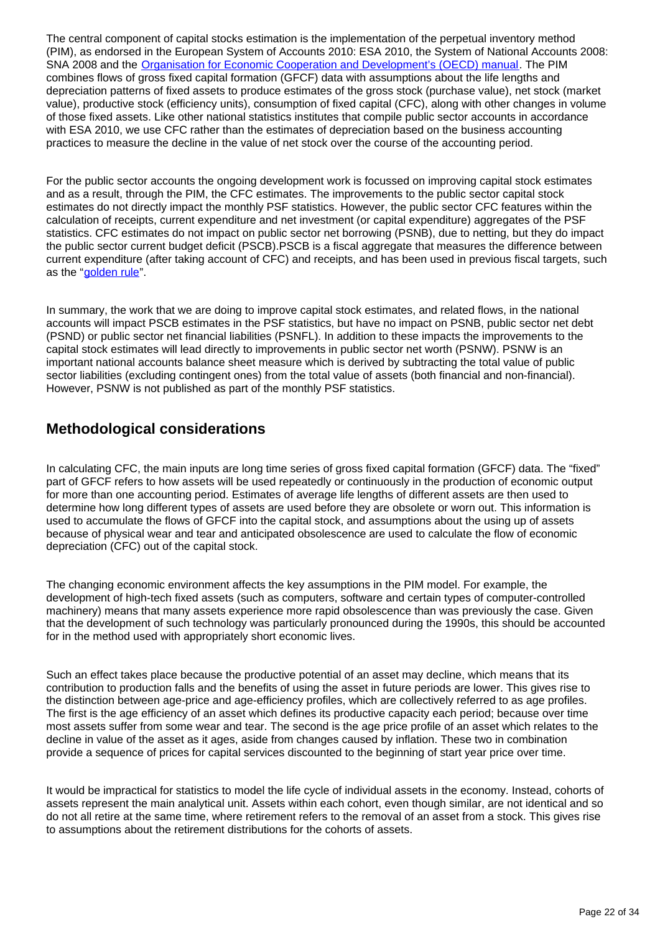The central component of capital stocks estimation is the implementation of the perpetual inventory method (PIM), as endorsed in the European System of Accounts 2010: ESA 2010, the System of National Accounts 2008: SNA 2008 and the [Organisation for Economic Cooperation and Development's \(OECD\) manual](http://www.oecd.org/publications/measuring-capital-oecd-manual-2009-9789264068476-en.htm). The PIM combines flows of gross fixed capital formation (GFCF) data with assumptions about the life lengths and depreciation patterns of fixed assets to produce estimates of the gross stock (purchase value), net stock (market value), productive stock (efficiency units), consumption of fixed capital (CFC), along with other changes in volume of those fixed assets. Like other national statistics institutes that compile public sector accounts in accordance with ESA 2010, we use CFC rather than the estimates of depreciation based on the business accounting practices to measure the decline in the value of net stock over the course of the accounting period.

For the public sector accounts the ongoing development work is focussed on improving capital stock estimates and as a result, through the PIM, the CFC estimates. The improvements to the public sector capital stock estimates do not directly impact the monthly PSF statistics. However, the public sector CFC features within the calculation of receipts, current expenditure and net investment (or capital expenditure) aggregates of the PSF statistics. CFC estimates do not impact on public sector net borrowing (PSNB), due to netting, but they do impact the public sector current budget deficit (PSCB).PSCB is a fiscal aggregate that measures the difference between current expenditure (after taking account of CFC) and receipts, and has been used in previous fiscal targets, such as the "[golden rule](https://www.ons.gov.uk/economy/governmentpublicsectorandtaxes/publicsectorfinance/methodologies/monthlystatisticsonthepublicsectorfinancesamethodologicalguide)".

In summary, the work that we are doing to improve capital stock estimates, and related flows, in the national accounts will impact PSCB estimates in the PSF statistics, but have no impact on PSNB, public sector net debt (PSND) or public sector net financial liabilities (PSNFL). In addition to these impacts the improvements to the capital stock estimates will lead directly to improvements in public sector net worth (PSNW). PSNW is an important national accounts balance sheet measure which is derived by subtracting the total value of public sector liabilities (excluding contingent ones) from the total value of assets (both financial and non-financial). However, PSNW is not published as part of the monthly PSF statistics.

### **Methodological considerations**

In calculating CFC, the main inputs are long time series of gross fixed capital formation (GFCF) data. The "fixed" part of GFCF refers to how assets will be used repeatedly or continuously in the production of economic output for more than one accounting period. Estimates of average life lengths of different assets are then used to determine how long different types of assets are used before they are obsolete or worn out. This information is used to accumulate the flows of GFCF into the capital stock, and assumptions about the using up of assets because of physical wear and tear and anticipated obsolescence are used to calculate the flow of economic depreciation (CFC) out of the capital stock.

The changing economic environment affects the key assumptions in the PIM model. For example, the development of high-tech fixed assets (such as computers, software and certain types of computer-controlled machinery) means that many assets experience more rapid obsolescence than was previously the case. Given that the development of such technology was particularly pronounced during the 1990s, this should be accounted for in the method used with appropriately short economic lives.

Such an effect takes place because the productive potential of an asset may decline, which means that its contribution to production falls and the benefits of using the asset in future periods are lower. This gives rise to the distinction between age-price and age-efficiency profiles, which are collectively referred to as age profiles. The first is the age efficiency of an asset which defines its productive capacity each period; because over time most assets suffer from some wear and tear. The second is the age price profile of an asset which relates to the decline in value of the asset as it ages, aside from changes caused by inflation. These two in combination provide a sequence of prices for capital services discounted to the beginning of start year price over time.

It would be impractical for statistics to model the life cycle of individual assets in the economy. Instead, cohorts of assets represent the main analytical unit. Assets within each cohort, even though similar, are not identical and so do not all retire at the same time, where retirement refers to the removal of an asset from a stock. This gives rise to assumptions about the retirement distributions for the cohorts of assets.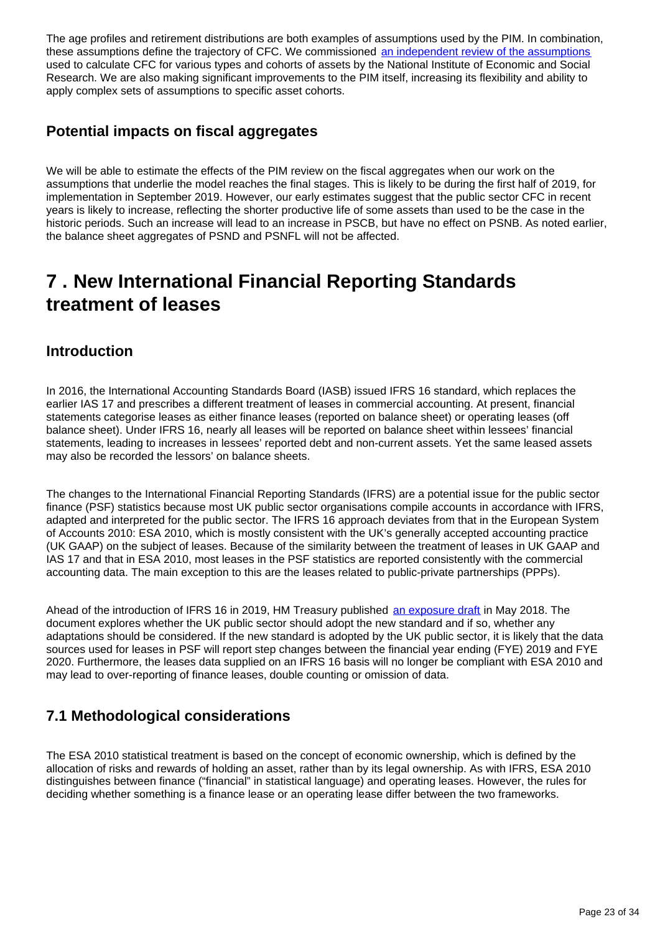The age profiles and retirement distributions are both examples of assumptions used by the PIM. In combination, these assumptions define the trajectory of CFC. We commissioned [an independent review of the assumptions](https://www.niesr.ac.uk/publications/academic-review-asset-lives-uk) used to calculate CFC for various types and cohorts of assets by the National Institute of Economic and Social Research. We are also making significant improvements to the PIM itself, increasing its flexibility and ability to apply complex sets of assumptions to specific asset cohorts.

### **Potential impacts on fiscal aggregates**

We will be able to estimate the effects of the PIM review on the fiscal aggregates when our work on the assumptions that underlie the model reaches the final stages. This is likely to be during the first half of 2019, for implementation in September 2019. However, our early estimates suggest that the public sector CFC in recent years is likely to increase, reflecting the shorter productive life of some assets than used to be the case in the historic periods. Such an increase will lead to an increase in PSCB, but have no effect on PSNB. As noted earlier, the balance sheet aggregates of PSND and PSNFL will not be affected.

## <span id="page-22-0"></span>**7 . New International Financial Reporting Standards treatment of leases**

### **Introduction**

In 2016, the International Accounting Standards Board (IASB) issued IFRS 16 standard, which replaces the earlier IAS 17 and prescribes a different treatment of leases in commercial accounting. At present, financial statements categorise leases as either finance leases (reported on balance sheet) or operating leases (off balance sheet). Under IFRS 16, nearly all leases will be reported on balance sheet within lessees' financial statements, leading to increases in lessees' reported debt and non-current assets. Yet the same leased assets may also be recorded the lessors' on balance sheets.

The changes to the International Financial Reporting Standards (IFRS) are a potential issue for the public sector finance (PSF) statistics because most UK public sector organisations compile accounts in accordance with IFRS, adapted and interpreted for the public sector. The IFRS 16 approach deviates from that in the European System of Accounts 2010: ESA 2010, which is mostly consistent with the UK's generally accepted accounting practice (UK GAAP) on the subject of leases. Because of the similarity between the treatment of leases in UK GAAP and IAS 17 and that in ESA 2010, most leases in the PSF statistics are reported consistently with the commercial accounting data. The main exception to this are the leases related to public-private partnerships (PPPs).

Ahead of the introduction of IFRS 16 in 2019, HM Treasury published [an exposure draft](https://www.gov.uk/government/consultations/ifrs-16-leases-exposure-draft-1801) in May 2018. The document explores whether the UK public sector should adopt the new standard and if so, whether any adaptations should be considered. If the new standard is adopted by the UK public sector, it is likely that the data sources used for leases in PSF will report step changes between the financial year ending (FYE) 2019 and FYE 2020. Furthermore, the leases data supplied on an IFRS 16 basis will no longer be compliant with ESA 2010 and may lead to over-reporting of finance leases, double counting or omission of data.

## **7.1 Methodological considerations**

The ESA 2010 statistical treatment is based on the concept of economic ownership, which is defined by the allocation of risks and rewards of holding an asset, rather than by its legal ownership. As with IFRS, ESA 2010 distinguishes between finance ("financial" in statistical language) and operating leases. However, the rules for deciding whether something is a finance lease or an operating lease differ between the two frameworks.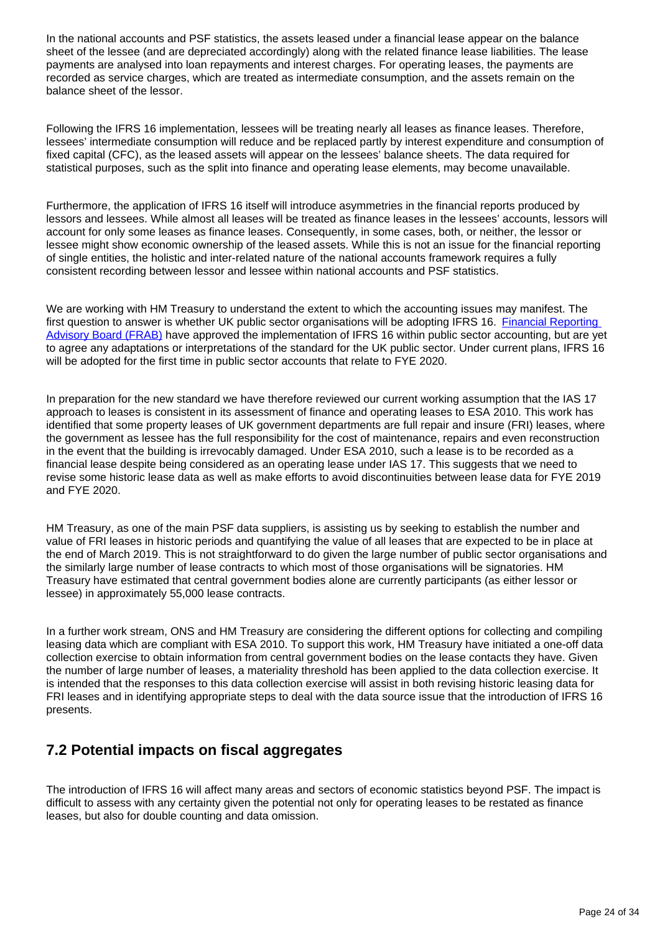In the national accounts and PSF statistics, the assets leased under a financial lease appear on the balance sheet of the lessee (and are depreciated accordingly) along with the related finance lease liabilities. The lease payments are analysed into loan repayments and interest charges. For operating leases, the payments are recorded as service charges, which are treated as intermediate consumption, and the assets remain on the balance sheet of the lessor.

Following the IFRS 16 implementation, lessees will be treating nearly all leases as finance leases. Therefore, lessees' intermediate consumption will reduce and be replaced partly by interest expenditure and consumption of fixed capital (CFC), as the leased assets will appear on the lessees' balance sheets. The data required for statistical purposes, such as the split into finance and operating lease elements, may become unavailable.

Furthermore, the application of IFRS 16 itself will introduce asymmetries in the financial reports produced by lessors and lessees. While almost all leases will be treated as finance leases in the lessees' accounts, lessors will account for only some leases as finance leases. Consequently, in some cases, both, or neither, the lessor or lessee might show economic ownership of the leased assets. While this is not an issue for the financial reporting of single entities, the holistic and inter-related nature of the national accounts framework requires a fully consistent recording between lessor and lessee within national accounts and PSF statistics.

We are working with HM Treasury to understand the extent to which the accounting issues may manifest. The first question to answer is whether UK public sector organisations will be adopting IFRS 16. Financial Reporting [Advisory Board \(FRAB\)](https://www.gov.uk/government/groups/financial-reporting-advisory-board-frab) have approved the implementation of IFRS 16 within public sector accounting, but are yet to agree any adaptations or interpretations of the standard for the UK public sector. Under current plans, IFRS 16 will be adopted for the first time in public sector accounts that relate to FYE 2020.

In preparation for the new standard we have therefore reviewed our current working assumption that the IAS 17 approach to leases is consistent in its assessment of finance and operating leases to ESA 2010. This work has identified that some property leases of UK government departments are full repair and insure (FRI) leases, where the government as lessee has the full responsibility for the cost of maintenance, repairs and even reconstruction in the event that the building is irrevocably damaged. Under ESA 2010, such a lease is to be recorded as a financial lease despite being considered as an operating lease under IAS 17. This suggests that we need to revise some historic lease data as well as make efforts to avoid discontinuities between lease data for FYE 2019 and FYE 2020.

HM Treasury, as one of the main PSF data suppliers, is assisting us by seeking to establish the number and value of FRI leases in historic periods and quantifying the value of all leases that are expected to be in place at the end of March 2019. This is not straightforward to do given the large number of public sector organisations and the similarly large number of lease contracts to which most of those organisations will be signatories. HM Treasury have estimated that central government bodies alone are currently participants (as either lessor or lessee) in approximately 55,000 lease contracts.

In a further work stream, ONS and HM Treasury are considering the different options for collecting and compiling leasing data which are compliant with ESA 2010. To support this work, HM Treasury have initiated a one-off data collection exercise to obtain information from central government bodies on the lease contacts they have. Given the number of large number of leases, a materiality threshold has been applied to the data collection exercise. It is intended that the responses to this data collection exercise will assist in both revising historic leasing data for FRI leases and in identifying appropriate steps to deal with the data source issue that the introduction of IFRS 16 presents.

### **7.2 Potential impacts on fiscal aggregates**

The introduction of IFRS 16 will affect many areas and sectors of economic statistics beyond PSF. The impact is difficult to assess with any certainty given the potential not only for operating leases to be restated as finance leases, but also for double counting and data omission.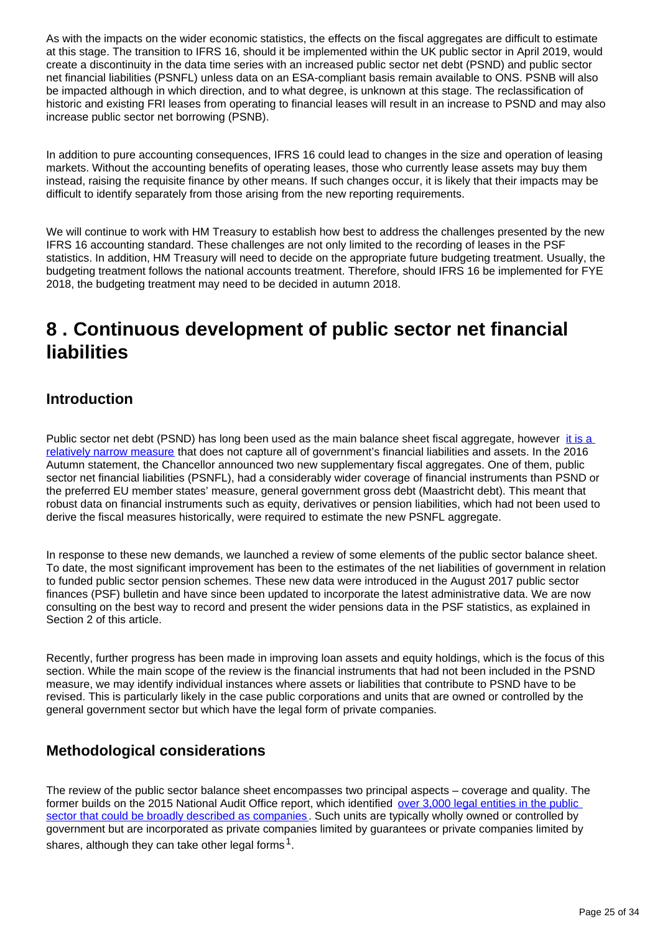As with the impacts on the wider economic statistics, the effects on the fiscal aggregates are difficult to estimate at this stage. The transition to IFRS 16, should it be implemented within the UK public sector in April 2019, would create a discontinuity in the data time series with an increased public sector net debt (PSND) and public sector net financial liabilities (PSNFL) unless data on an ESA-compliant basis remain available to ONS. PSNB will also be impacted although in which direction, and to what degree, is unknown at this stage. The reclassification of historic and existing FRI leases from operating to financial leases will result in an increase to PSND and may also increase public sector net borrowing (PSNB).

In addition to pure accounting consequences, IFRS 16 could lead to changes in the size and operation of leasing markets. Without the accounting benefits of operating leases, those who currently lease assets may buy them instead, raising the requisite finance by other means. If such changes occur, it is likely that their impacts may be difficult to identify separately from those arising from the new reporting requirements.

We will continue to work with HM Treasury to establish how best to address the challenges presented by the new IFRS 16 accounting standard. These challenges are not only limited to the recording of leases in the PSF statistics. In addition, HM Treasury will need to decide on the appropriate future budgeting treatment. Usually, the budgeting treatment follows the national accounts treatment. Therefore, should IFRS 16 be implemented for FYE 2018, the budgeting treatment may need to be decided in autumn 2018.

## <span id="page-24-0"></span>**8 . Continuous development of public sector net financial liabilities**

## **Introduction**

Public sector net debt (PSND) has long been used as the main balance sheet fiscal aggregate, however it is a [relatively narrow measure](https://www.ons.gov.uk/economy/governmentpublicsectorandtaxes/publicsectorfinance/articles/widermeasuresofpublicsectornetdebt/december2017) that does not capture all of government's financial liabilities and assets. In the 2016 Autumn statement, the Chancellor announced two new supplementary fiscal aggregates. One of them, public sector net financial liabilities (PSNFL), had a considerably wider coverage of financial instruments than PSND or the preferred EU member states' measure, general government gross debt (Maastricht debt). This meant that robust data on financial instruments such as equity, derivatives or pension liabilities, which had not been used to derive the fiscal measures historically, were required to estimate the new PSNFL aggregate.

In response to these new demands, we launched a review of some elements of the public sector balance sheet. To date, the most significant improvement has been to the estimates of the net liabilities of government in relation to funded public sector pension schemes. These new data were introduced in the August 2017 public sector finances (PSF) bulletin and have since been updated to incorporate the latest administrative data. We are now consulting on the best way to record and present the wider pensions data in the PSF statistics, as explained in Section 2 of this article.

Recently, further progress has been made in improving loan assets and equity holdings, which is the focus of this section. While the main scope of the review is the financial instruments that had not been included in the PSND measure, we may identify individual instances where assets or liabilities that contribute to PSND have to be revised. This is particularly likely in the case public corporations and units that are owned or controlled by the general government sector but which have the legal form of private companies.

### **Methodological considerations**

The review of the public sector balance sheet encompasses two principal aspects – coverage and quality. The former builds on the 2015 National Audit Office report, which identified over 3,000 legal entities in the public [sector that could be broadly described as companies](https://www.nao.org.uk/report/companies-in-government/). Such units are typically wholly owned or controlled by government but are incorporated as private companies limited by guarantees or private companies limited by shares, although they can take other legal forms  ${}^{1}$ .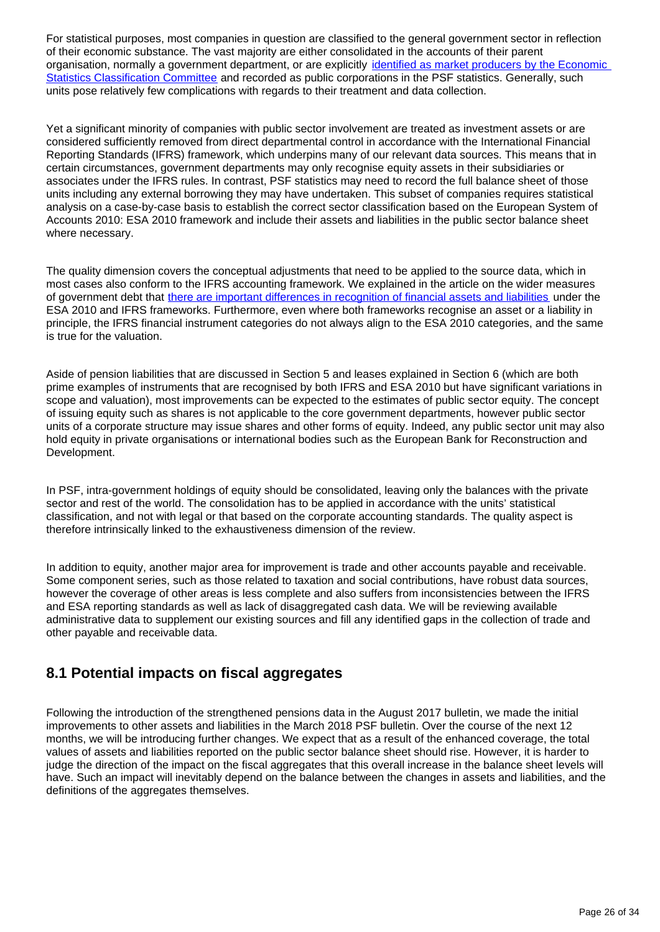For statistical purposes, most companies in question are classified to the general government sector in reflection of their economic substance. The vast majority are either consolidated in the accounts of their parent organisation, normally a government department, or are explicitly [identified as market producers by the Economic](https://www.ons.gov.uk/economy/governmentpublicsectorandtaxes/publicsectorfinance/articles/widermeasuresofpublicsectornetdebt/december2017)  [Statistics Classification Committee](https://www.ons.gov.uk/economy/governmentpublicsectorandtaxes/publicsectorfinance/articles/widermeasuresofpublicsectornetdebt/december2017) and recorded as public corporations in the PSF statistics. Generally, such units pose relatively few complications with regards to their treatment and data collection.

Yet a significant minority of companies with public sector involvement are treated as investment assets or are considered sufficiently removed from direct departmental control in accordance with the International Financial Reporting Standards (IFRS) framework, which underpins many of our relevant data sources. This means that in certain circumstances, government departments may only recognise equity assets in their subsidiaries or associates under the IFRS rules. In contrast, PSF statistics may need to record the full balance sheet of those units including any external borrowing they may have undertaken. This subset of companies requires statistical analysis on a case-by-case basis to establish the correct sector classification based on the European System of Accounts 2010: ESA 2010 framework and include their assets and liabilities in the public sector balance sheet where necessary.

The quality dimension covers the conceptual adjustments that need to be applied to the source data, which in most cases also conform to the IFRS accounting framework. We explained in the article on the wider measures of government debt that [there are important differences in recognition of financial assets and liabilities](https://www.ons.gov.uk/economy/governmentpublicsectorandtaxes/publicsectorfinance/articles/widermeasuresofpublicsectornetdebt/december2017#wider-obligations-and-potential-liabilities) under the ESA 2010 and IFRS frameworks. Furthermore, even where both frameworks recognise an asset or a liability in principle, the IFRS financial instrument categories do not always align to the ESA 2010 categories, and the same is true for the valuation.

Aside of pension liabilities that are discussed in Section 5 and leases explained in Section 6 (which are both prime examples of instruments that are recognised by both IFRS and ESA 2010 but have significant variations in scope and valuation), most improvements can be expected to the estimates of public sector equity. The concept of issuing equity such as shares is not applicable to the core government departments, however public sector units of a corporate structure may issue shares and other forms of equity. Indeed, any public sector unit may also hold equity in private organisations or international bodies such as the European Bank for Reconstruction and Development.

In PSF, intra-government holdings of equity should be consolidated, leaving only the balances with the private sector and rest of the world. The consolidation has to be applied in accordance with the units' statistical classification, and not with legal or that based on the corporate accounting standards. The quality aspect is therefore intrinsically linked to the exhaustiveness dimension of the review.

In addition to equity, another major area for improvement is trade and other accounts payable and receivable. Some component series, such as those related to taxation and social contributions, have robust data sources, however the coverage of other areas is less complete and also suffers from inconsistencies between the IFRS and ESA reporting standards as well as lack of disaggregated cash data. We will be reviewing available administrative data to supplement our existing sources and fill any identified gaps in the collection of trade and other payable and receivable data.

### **8.1 Potential impacts on fiscal aggregates**

Following the introduction of the strengthened pensions data in the August 2017 bulletin, we made the initial improvements to other assets and liabilities in the March 2018 PSF bulletin. Over the course of the next 12 months, we will be introducing further changes. We expect that as a result of the enhanced coverage, the total values of assets and liabilities reported on the public sector balance sheet should rise. However, it is harder to judge the direction of the impact on the fiscal aggregates that this overall increase in the balance sheet levels will have. Such an impact will inevitably depend on the balance between the changes in assets and liabilities, and the definitions of the aggregates themselves.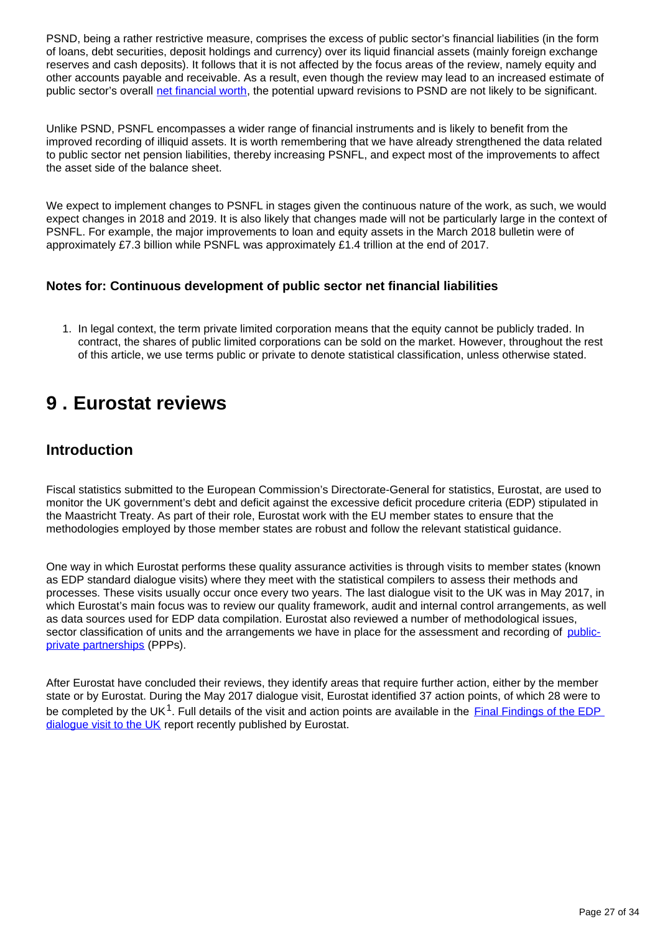PSND, being a rather restrictive measure, comprises the excess of public sector's financial liabilities (in the form of loans, debt securities, deposit holdings and currency) over its liquid financial assets (mainly foreign exchange reserves and cash deposits). It follows that it is not affected by the focus areas of the review, namely equity and other accounts payable and receivable. As a result, even though the review may lead to an increased estimate of public sector's overall [net financial worth,](https://www.ons.gov.uk/economy/governmentpublicsectorandtaxes/publicsectorfinance/methodologies/monthlystatisticsonthepublicsectorfinancesamethodologicalguide) the potential upward revisions to PSND are not likely to be significant.

Unlike PSND, PSNFL encompasses a wider range of financial instruments and is likely to benefit from the improved recording of illiquid assets. It is worth remembering that we have already strengthened the data related to public sector net pension liabilities, thereby increasing PSNFL, and expect most of the improvements to affect the asset side of the balance sheet.

We expect to implement changes to PSNFL in stages given the continuous nature of the work, as such, we would expect changes in 2018 and 2019. It is also likely that changes made will not be particularly large in the context of PSNFL. For example, the major improvements to loan and equity assets in the March 2018 bulletin were of approximately £7.3 billion while PSNFL was approximately £1.4 trillion at the end of 2017.

### **Notes for: Continuous development of public sector net financial liabilities**

1. In legal context, the term private limited corporation means that the equity cannot be publicly traded. In contract, the shares of public limited corporations can be sold on the market. However, throughout the rest of this article, we use terms public or private to denote statistical classification, unless otherwise stated.

## <span id="page-26-0"></span>**9 . Eurostat reviews**

### **Introduction**

Fiscal statistics submitted to the European Commission's Directorate-General for statistics, Eurostat, are used to monitor the UK government's debt and deficit against the excessive deficit procedure criteria (EDP) stipulated in the Maastricht Treaty. As part of their role, Eurostat work with the EU member states to ensure that the methodologies employed by those member states are robust and follow the relevant statistical guidance.

One way in which Eurostat performs these quality assurance activities is through visits to member states (known as EDP standard dialogue visits) where they meet with the statistical compilers to assess their methods and processes. These visits usually occur once every two years. The last dialogue visit to the UK was in May 2017, in which Eurostat's main focus was to review our quality framework, audit and internal control arrangements, as well as data sources used for EDP data compilation. Eurostat also reviewed a number of methodological issues, sector classification of units and the arrangements we have in place for the assessment and recording of [public](https://www.gov.uk/government/collections/public-private-partnerships)[private partnerships](https://www.gov.uk/government/collections/public-private-partnerships) (PPPs).

After Eurostat have concluded their reviews, they identify areas that require further action, either by the member state or by Eurostat. During the May 2017 dialogue visit, Eurostat identified 37 action points, of which 28 were to be completed by the UK<sup>1</sup>. Full details of the visit and action points are available in the  $Final Findings of the EDP$ </u> [dialogue visit to the UK](http://ec.europa.eu/eurostat/documents/1015035/8054610/Final-findings-EDP-dialogue-visit-UK-16-17-May-2017.pdf/7a53c1d0-34a9-4c17-92ea-10361ad17e3b) report recently published by Eurostat.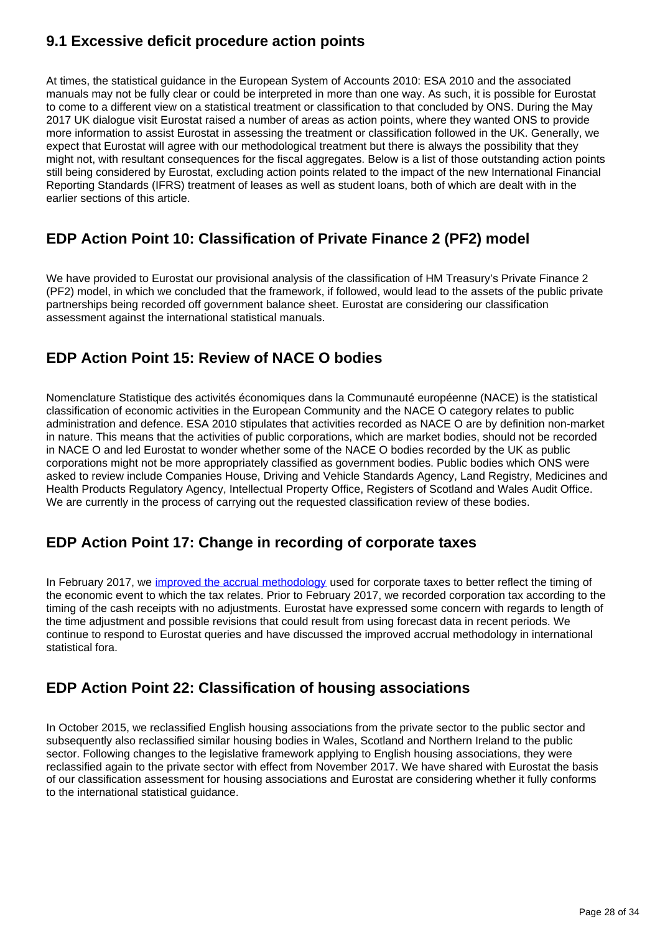## **9.1 Excessive deficit procedure action points**

At times, the statistical guidance in the European System of Accounts 2010: ESA 2010 and the associated manuals may not be fully clear or could be interpreted in more than one way. As such, it is possible for Eurostat to come to a different view on a statistical treatment or classification to that concluded by ONS. During the May 2017 UK dialogue visit Eurostat raised a number of areas as action points, where they wanted ONS to provide more information to assist Eurostat in assessing the treatment or classification followed in the UK. Generally, we expect that Eurostat will agree with our methodological treatment but there is always the possibility that they might not, with resultant consequences for the fiscal aggregates. Below is a list of those outstanding action points still being considered by Eurostat, excluding action points related to the impact of the new International Financial Reporting Standards (IFRS) treatment of leases as well as student loans, both of which are dealt with in the earlier sections of this article.

## **EDP Action Point 10: Classification of Private Finance 2 (PF2) model**

We have provided to Eurostat our provisional analysis of the classification of HM Treasury's Private Finance 2 (PF2) model, in which we concluded that the framework, if followed, would lead to the assets of the public private partnerships being recorded off government balance sheet. Eurostat are considering our classification assessment against the international statistical manuals.

## **EDP Action Point 15: Review of NACE O bodies**

Nomenclature Statistique des activités économiques dans la Communauté européenne (NACE) is the statistical classification of economic activities in the European Community and the NACE O category relates to public administration and defence. ESA 2010 stipulates that activities recorded as NACE O are by definition non-market in nature. This means that the activities of public corporations, which are market bodies, should not be recorded in NACE O and led Eurostat to wonder whether some of the NACE O bodies recorded by the UK as public corporations might not be more appropriately classified as government bodies. Public bodies which ONS were asked to review include Companies House, Driving and Vehicle Standards Agency, Land Registry, Medicines and Health Products Regulatory Agency, Intellectual Property Office, Registers of Scotland and Wales Audit Office. We are currently in the process of carrying out the requested classification review of these bodies.

## **EDP Action Point 17: Change in recording of corporate taxes**

In February 2017, we [improved the accrual methodology](https://www.ons.gov.uk/releases/corporationtaxbankcorporationtaxsurchargeandthebanklevy) used for corporate taxes to better reflect the timing of the economic event to which the tax relates. Prior to February 2017, we recorded corporation tax according to the timing of the cash receipts with no adjustments. Eurostat have expressed some concern with regards to length of the time adjustment and possible revisions that could result from using forecast data in recent periods. We continue to respond to Eurostat queries and have discussed the improved accrual methodology in international statistical fora.

## **EDP Action Point 22: Classification of housing associations**

In October 2015, we reclassified English housing associations from the private sector to the public sector and subsequently also reclassified similar housing bodies in Wales, Scotland and Northern Ireland to the public sector. Following changes to the legislative framework applying to English housing associations, they were reclassified again to the private sector with effect from November 2017. We have shared with Eurostat the basis of our classification assessment for housing associations and Eurostat are considering whether it fully conforms to the international statistical guidance.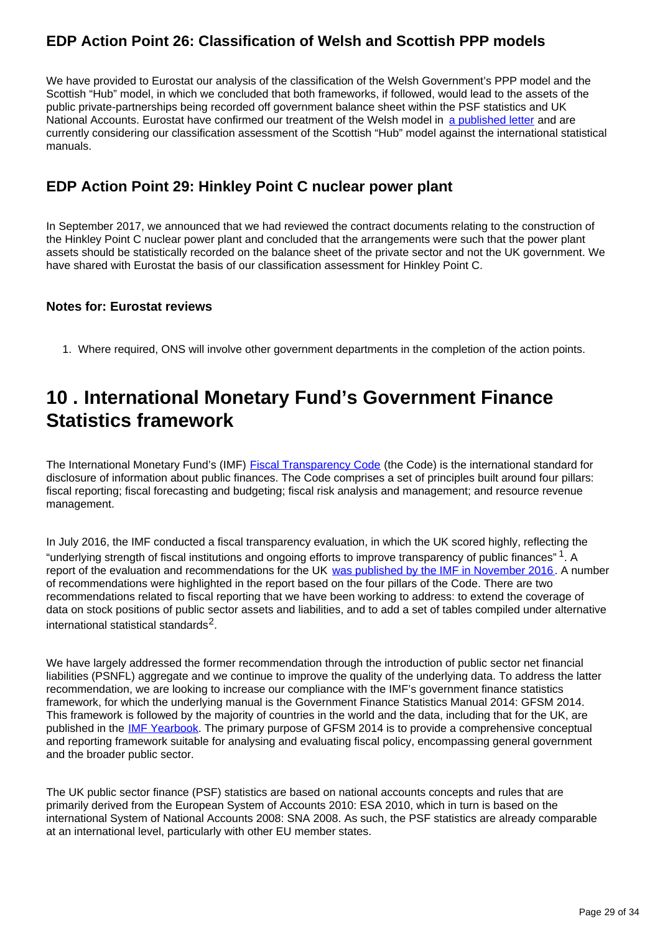## **EDP Action Point 26: Classification of Welsh and Scottish PPP models**

We have provided to Eurostat our analysis of the classification of the Welsh Government's PPP model and the Scottish "Hub" model, in which we concluded that both frameworks, if followed, would lead to the assets of the public private-partnerships being recorded off government balance sheet within the PSF statistics and UK National Accounts. Eurostat have confirmed our treatment of the Welsh model in [a published letter](http://ec.europa.eu/eurostat/web/government-finance-statistics/methodology/advice-to-member-states) and are currently considering our classification assessment of the Scottish "Hub" model against the international statistical manuals.

### **EDP Action Point 29: Hinkley Point C nuclear power plant**

In September 2017, we announced that we had reviewed the contract documents relating to the construction of the Hinkley Point C nuclear power plant and concluded that the arrangements were such that the power plant assets should be statistically recorded on the balance sheet of the private sector and not the UK government. We have shared with Eurostat the basis of our classification assessment for Hinkley Point C.

#### **Notes for: Eurostat reviews**

1. Where required, ONS will involve other government departments in the completion of the action points.

## <span id="page-28-0"></span>**10 . International Monetary Fund's Government Finance Statistics framework**

The International Monetary Fund's (IMF) **Fiscal Transparency Code** (the Code) is the international standard for disclosure of information about public finances. The Code comprises a set of principles built around four pillars: fiscal reporting; fiscal forecasting and budgeting; fiscal risk analysis and management; and resource revenue management.

In July 2016, the IMF conducted a fiscal transparency evaluation, in which the UK scored highly, reflecting the "underlying strength of fiscal institutions and ongoing efforts to improve transparency of public finances"  $1$ . A report of the evaluation and recommendations for the UK [was published by the IMF in November 2016](http://www.imf.org/en/Publications/CR/Issues/2016/12/31/United-Kingdom-Fiscal-Transparency-Evaluation-44395). A number of recommendations were highlighted in the report based on the four pillars of the Code. There are two recommendations related to fiscal reporting that we have been working to address: to extend the coverage of data on stock positions of public sector assets and liabilities, and to add a set of tables compiled under alternative international statistical standards $^2$ .

We have largely addressed the former recommendation through the introduction of public sector net financial liabilities (PSNFL) aggregate and we continue to improve the quality of the underlying data. To address the latter recommendation, we are looking to increase our compliance with the IMF's government finance statistics framework, for which the underlying manual is the Government Finance Statistics Manual 2014: GFSM 2014. This framework is followed by the majority of countries in the world and the data, including that for the UK, are published in the **[IMF Yearbook](http://www.imf.org/en/Data)**. The primary purpose of GFSM 2014 is to provide a comprehensive conceptual and reporting framework suitable for analysing and evaluating fiscal policy, encompassing general government and the broader public sector.

The UK public sector finance (PSF) statistics are based on national accounts concepts and rules that are primarily derived from the European System of Accounts 2010: ESA 2010, which in turn is based on the international System of National Accounts 2008: SNA 2008. As such, the PSF statistics are already comparable at an international level, particularly with other EU member states.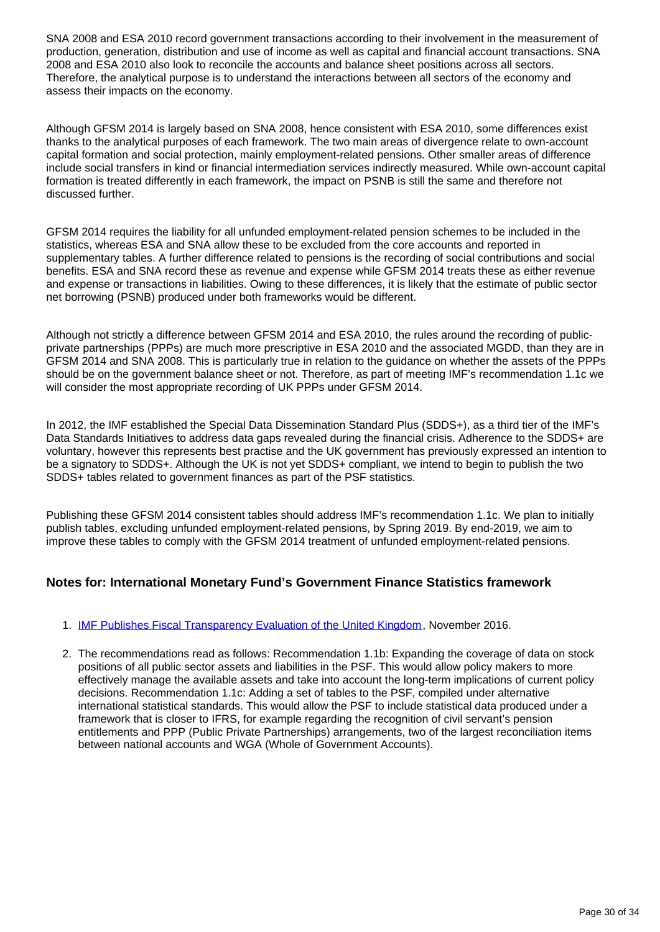SNA 2008 and ESA 2010 record government transactions according to their involvement in the measurement of production, generation, distribution and use of income as well as capital and financial account transactions. SNA 2008 and ESA 2010 also look to reconcile the accounts and balance sheet positions across all sectors. Therefore, the analytical purpose is to understand the interactions between all sectors of the economy and assess their impacts on the economy.

Although GFSM 2014 is largely based on SNA 2008, hence consistent with ESA 2010, some differences exist thanks to the analytical purposes of each framework. The two main areas of divergence relate to own-account capital formation and social protection, mainly employment-related pensions. Other smaller areas of difference include social transfers in kind or financial intermediation services indirectly measured. While own-account capital formation is treated differently in each framework, the impact on PSNB is still the same and therefore not discussed further.

GFSM 2014 requires the liability for all unfunded employment-related pension schemes to be included in the statistics, whereas ESA and SNA allow these to be excluded from the core accounts and reported in supplementary tables. A further difference related to pensions is the recording of social contributions and social benefits. ESA and SNA record these as revenue and expense while GFSM 2014 treats these as either revenue and expense or transactions in liabilities. Owing to these differences, it is likely that the estimate of public sector net borrowing (PSNB) produced under both frameworks would be different.

Although not strictly a difference between GFSM 2014 and ESA 2010, the rules around the recording of publicprivate partnerships (PPPs) are much more prescriptive in ESA 2010 and the associated MGDD, than they are in GFSM 2014 and SNA 2008. This is particularly true in relation to the guidance on whether the assets of the PPPs should be on the government balance sheet or not. Therefore, as part of meeting IMF's recommendation 1.1c we will consider the most appropriate recording of UK PPPs under GFSM 2014.

In 2012, the IMF established the Special Data Dissemination Standard Plus (SDDS+), as a third tier of the IMF's Data Standards Initiatives to address data gaps revealed during the financial crisis. Adherence to the SDDS+ are voluntary, however this represents best practise and the UK government has previously expressed an intention to be a signatory to SDDS+. Although the UK is not yet SDDS+ compliant, we intend to begin to publish the two SDDS+ tables related to government finances as part of the PSF statistics.

Publishing these GFSM 2014 consistent tables should address IMF's recommendation 1.1c. We plan to initially publish tables, excluding unfunded employment-related pensions, by Spring 2019. By end-2019, we aim to improve these tables to comply with the GFSM 2014 treatment of unfunded employment-related pensions.

#### **Notes for: International Monetary Fund's Government Finance Statistics framework**

#### 1. **[IMF Publishes Fiscal Transparency Evaluation of the United Kingdom](https://www.imf.org/en/News/Articles/2016/11/16/PR16509-UK-IMF-Publishes-Fiscal-Transparency-Evaluation-for-the-United-Kingdom)**, November 2016.

2. The recommendations read as follows: Recommendation 1.1b: Expanding the coverage of data on stock positions of all public sector assets and liabilities in the PSF. This would allow policy makers to more effectively manage the available assets and take into account the long-term implications of current policy decisions. Recommendation 1.1c: Adding a set of tables to the PSF, compiled under alternative international statistical standards. This would allow the PSF to include statistical data produced under a framework that is closer to IFRS, for example regarding the recognition of civil servant's pension entitlements and PPP (Public Private Partnerships) arrangements, two of the largest reconciliation items between national accounts and WGA (Whole of Government Accounts).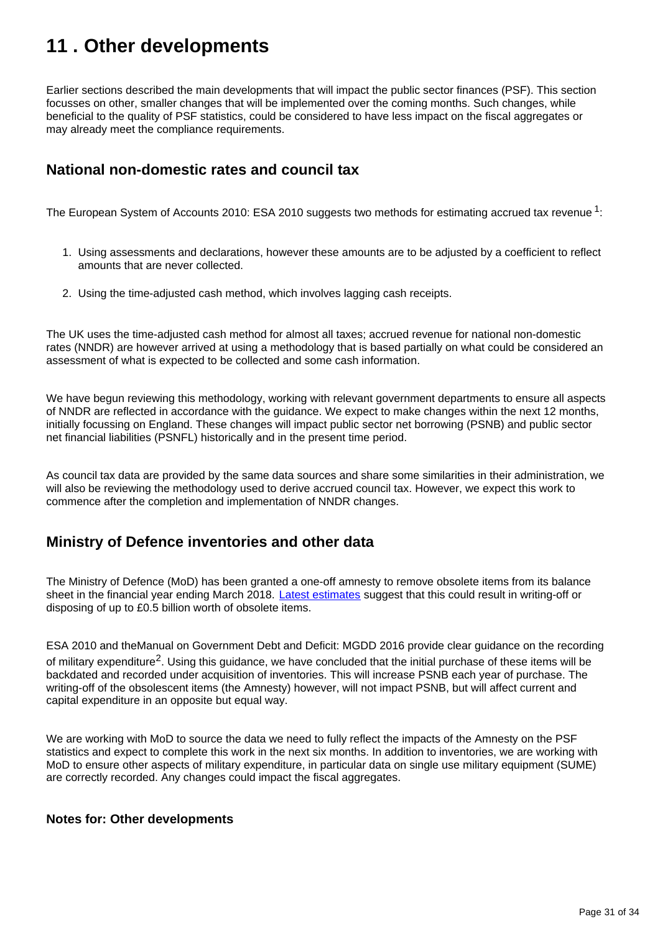## <span id="page-30-0"></span>**11 . Other developments**

Earlier sections described the main developments that will impact the public sector finances (PSF). This section focusses on other, smaller changes that will be implemented over the coming months. Such changes, while beneficial to the quality of PSF statistics, could be considered to have less impact on the fiscal aggregates or may already meet the compliance requirements.

## **National non-domestic rates and council tax**

The European System of Accounts 2010: ESA 2010 suggests two methods for estimating accrued tax revenue  $^1$ :

- 1. Using assessments and declarations, however these amounts are to be adjusted by a coefficient to reflect amounts that are never collected.
- 2. Using the time-adjusted cash method, which involves lagging cash receipts.

The UK uses the time-adjusted cash method for almost all taxes; accrued revenue for national non-domestic rates (NNDR) are however arrived at using a methodology that is based partially on what could be considered an assessment of what is expected to be collected and some cash information.

We have begun reviewing this methodology, working with relevant government departments to ensure all aspects of NNDR are reflected in accordance with the guidance. We expect to make changes within the next 12 months, initially focussing on England. These changes will impact public sector net borrowing (PSNB) and public sector net financial liabilities (PSNFL) historically and in the present time period.

As council tax data are provided by the same data sources and share some similarities in their administration, we will also be reviewing the methodology used to derive accrued council tax. However, we expect this work to commence after the completion and implementation of NNDR changes.

### **Ministry of Defence inventories and other data**

The Ministry of Defence (MoD) has been granted a one-off amnesty to remove obsolete items from its balance sheet in the financial year ending March 2018. [Latest estimates](https://www.parliament.uk/documents/commons-committees/defence/180131_SE-2017-18_MoD-Memo.pdf) suggest that this could result in writing-off or disposing of up to £0.5 billion worth of obsolete items.

ESA 2010 and theManual on Government Debt and Deficit: MGDD 2016 provide clear guidance on the recording of military expenditure<sup>2</sup>. Using this quidance, we have concluded that the initial purchase of these items will be backdated and recorded under acquisition of inventories. This will increase PSNB each year of purchase. The writing-off of the obsolescent items (the Amnesty) however, will not impact PSNB, but will affect current and capital expenditure in an opposite but equal way.

We are working with MoD to source the data we need to fully reflect the impacts of the Amnesty on the PSF statistics and expect to complete this work in the next six months. In addition to inventories, we are working with MoD to ensure other aspects of military expenditure, in particular data on single use military equipment (SUME) are correctly recorded. Any changes could impact the fiscal aggregates.

#### **Notes for: Other developments**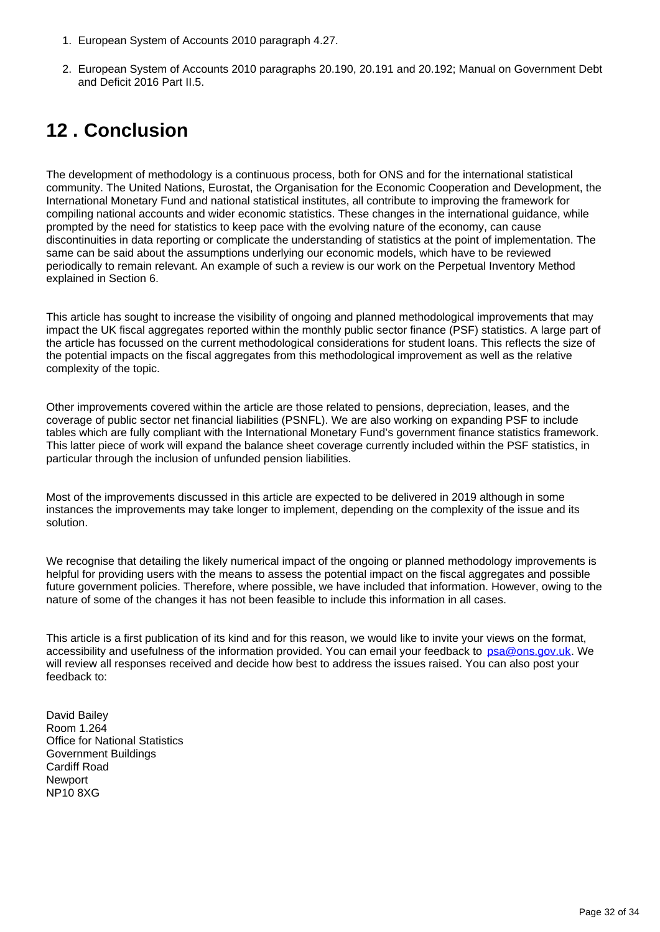- 1. European System of Accounts 2010 paragraph 4.27.
- 2. European System of Accounts 2010 paragraphs 20.190, 20.191 and 20.192; Manual on Government Debt and Deficit 2016 Part II.5.

## <span id="page-31-0"></span>**12 . Conclusion**

The development of methodology is a continuous process, both for ONS and for the international statistical community. The United Nations, Eurostat, the Organisation for the Economic Cooperation and Development, the International Monetary Fund and national statistical institutes, all contribute to improving the framework for compiling national accounts and wider economic statistics. These changes in the international guidance, while prompted by the need for statistics to keep pace with the evolving nature of the economy, can cause discontinuities in data reporting or complicate the understanding of statistics at the point of implementation. The same can be said about the assumptions underlying our economic models, which have to be reviewed periodically to remain relevant. An example of such a review is our work on the Perpetual Inventory Method explained in Section 6.

This article has sought to increase the visibility of ongoing and planned methodological improvements that may impact the UK fiscal aggregates reported within the monthly public sector finance (PSF) statistics. A large part of the article has focussed on the current methodological considerations for student loans. This reflects the size of the potential impacts on the fiscal aggregates from this methodological improvement as well as the relative complexity of the topic.

Other improvements covered within the article are those related to pensions, depreciation, leases, and the coverage of public sector net financial liabilities (PSNFL). We are also working on expanding PSF to include tables which are fully compliant with the International Monetary Fund's government finance statistics framework. This latter piece of work will expand the balance sheet coverage currently included within the PSF statistics, in particular through the inclusion of unfunded pension liabilities.

Most of the improvements discussed in this article are expected to be delivered in 2019 although in some instances the improvements may take longer to implement, depending on the complexity of the issue and its solution.

We recognise that detailing the likely numerical impact of the ongoing or planned methodology improvements is helpful for providing users with the means to assess the potential impact on the fiscal aggregates and possible future government policies. Therefore, where possible, we have included that information. However, owing to the nature of some of the changes it has not been feasible to include this information in all cases.

This article is a first publication of its kind and for this reason, we would like to invite your views on the format, accessibility and usefulness of the information provided. You can email your feedback to psa@ons.gov.uk. We will review all responses received and decide how best to address the issues raised. You can also post your feedback to:

David Bailey Room 1.264 Office for National Statistics Government Buildings Cardiff Road **Newport** NP10 8XG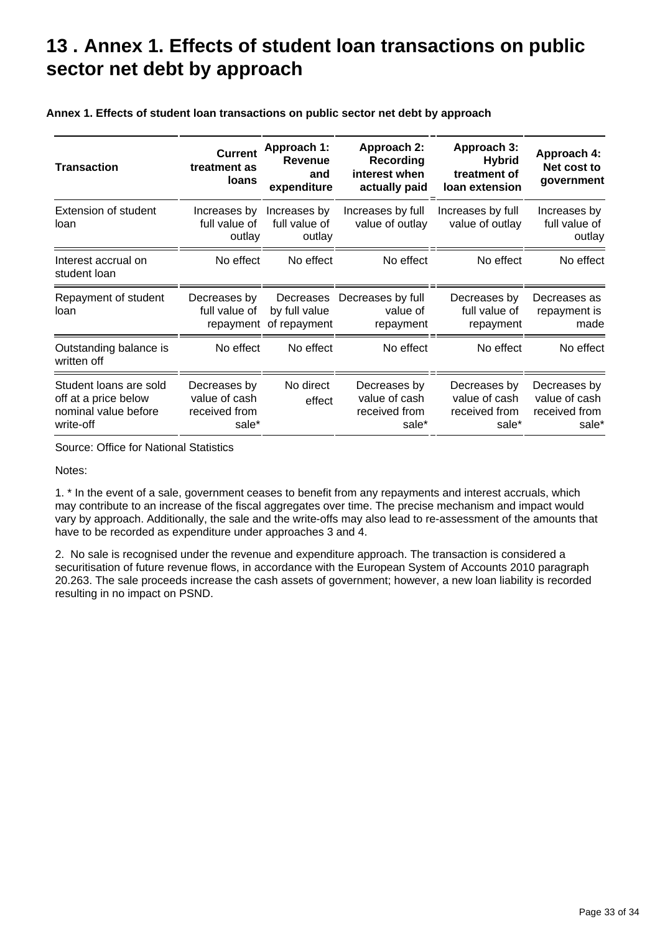## <span id="page-32-0"></span>**13 . Annex 1. Effects of student loan transactions on public sector net debt by approach**

| <b>Transaction</b>                                                                  | <b>Current</b><br>treatment as<br><b>loans</b>          | <b>Approach 1:</b><br>Revenue<br>and<br>expenditure | Approach 2:<br>Recording<br>interest when<br>actually paid | Approach 3:<br><b>Hybrid</b><br>treatment of<br>loan extension | Approach 4:<br>Net cost to<br>government                |
|-------------------------------------------------------------------------------------|---------------------------------------------------------|-----------------------------------------------------|------------------------------------------------------------|----------------------------------------------------------------|---------------------------------------------------------|
| Extension of student<br>loan                                                        | Increases by<br>full value of<br>outlay                 | Increases by<br>full value of<br>outlay             | Increases by full<br>value of outlay                       | Increases by full<br>value of outlay                           | Increases by<br>full value of<br>outlay                 |
| Interest accrual on<br>student loan                                                 | No effect                                               | No effect                                           | No effect                                                  | No effect                                                      | No effect                                               |
| Repayment of student<br>loan                                                        | Decreases by<br>full value of<br>repayment              | Decreases<br>by full value<br>of repayment          | Decreases by full<br>value of<br>repayment                 | Decreases by<br>full value of<br>repayment                     | Decreases as<br>repayment is<br>made                    |
| Outstanding balance is<br>written off                                               | No effect                                               | No effect                                           | No effect                                                  | No effect                                                      | No effect                                               |
| Student loans are sold<br>off at a price below<br>nominal value before<br>write-off | Decreases by<br>value of cash<br>received from<br>sale* | No direct<br>effect                                 | Decreases by<br>value of cash<br>received from<br>sale*    | Decreases by<br>value of cash<br>received from<br>sale*        | Decreases by<br>value of cash<br>received from<br>sale* |

**Annex 1. Effects of student loan transactions on public sector net debt by approach**

Source: Office for National Statistics

Notes:

1. \* In the event of a sale, government ceases to benefit from any repayments and interest accruals, which may contribute to an increase of the fiscal aggregates over time. The precise mechanism and impact would vary by approach. Additionally, the sale and the write-offs may also lead to re-assessment of the amounts that have to be recorded as expenditure under approaches 3 and 4.

2. No sale is recognised under the revenue and expenditure approach. The transaction is considered a securitisation of future revenue flows, in accordance with the European System of Accounts 2010 paragraph 20.263. The sale proceeds increase the cash assets of government; however, a new loan liability is recorded resulting in no impact on PSND.